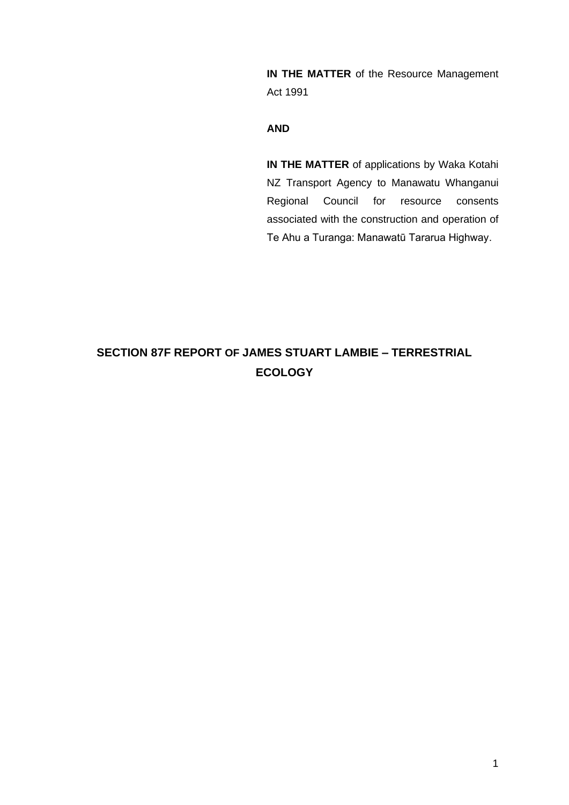**IN THE MATTER** of the Resource Management Act 1991

# **AND**

**IN THE MATTER** of applications by Waka Kotahi NZ Transport Agency to Manawatu Whanganui Regional Council for resource consents associated with the construction and operation of Te Ahu a Turanga: Manawatū Tararua Highway.

# **SECTION 87F REPORT OF JAMES STUART LAMBIE – TERRESTRIAL ECOLOGY**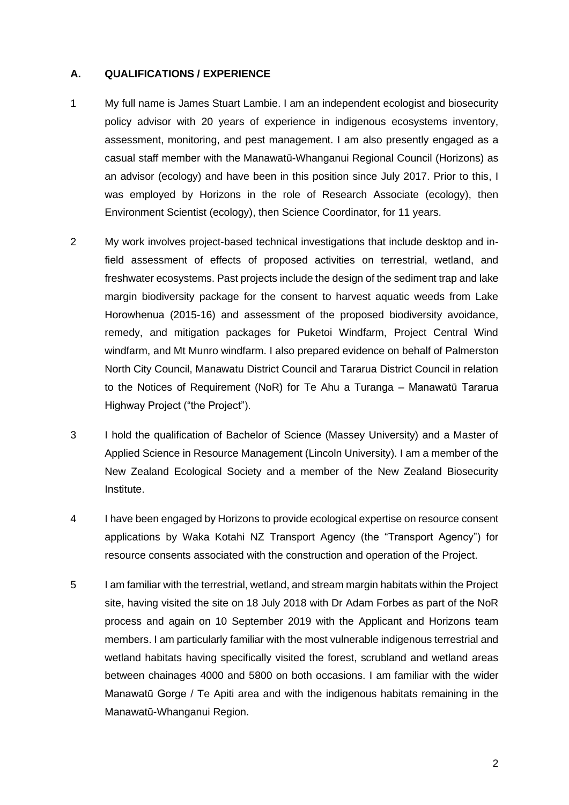#### **A. QUALIFICATIONS / EXPERIENCE**

- 1 My full name is James Stuart Lambie. I am an independent ecologist and biosecurity policy advisor with 20 years of experience in indigenous ecosystems inventory, assessment, monitoring, and pest management. I am also presently engaged as a casual staff member with the Manawatū-Whanganui Regional Council (Horizons) as an advisor (ecology) and have been in this position since July 2017. Prior to this, I was employed by Horizons in the role of Research Associate (ecology), then Environment Scientist (ecology), then Science Coordinator, for 11 years.
- 2 My work involves project-based technical investigations that include desktop and infield assessment of effects of proposed activities on terrestrial, wetland, and freshwater ecosystems. Past projects include the design of the sediment trap and lake margin biodiversity package for the consent to harvest aquatic weeds from Lake Horowhenua (2015-16) and assessment of the proposed biodiversity avoidance, remedy, and mitigation packages for Puketoi Windfarm, Project Central Wind windfarm, and Mt Munro windfarm. I also prepared evidence on behalf of Palmerston North City Council, Manawatu District Council and Tararua District Council in relation to the Notices of Requirement (NoR) for Te Ahu a Turanga – Manawatū Tararua Highway Project ("the Project").
- 3 I hold the qualification of Bachelor of Science (Massey University) and a Master of Applied Science in Resource Management (Lincoln University). I am a member of the New Zealand Ecological Society and a member of the New Zealand Biosecurity Institute.
- 4 I have been engaged by Horizons to provide ecological expertise on resource consent applications by Waka Kotahi NZ Transport Agency (the "Transport Agency") for resource consents associated with the construction and operation of the Project.
- 5 I am familiar with the terrestrial, wetland, and stream margin habitats within the Project site, having visited the site on 18 July 2018 with Dr Adam Forbes as part of the NoR process and again on 10 September 2019 with the Applicant and Horizons team members. I am particularly familiar with the most vulnerable indigenous terrestrial and wetland habitats having specifically visited the forest, scrubland and wetland areas between chainages 4000 and 5800 on both occasions. I am familiar with the wider Manawatū Gorge / Te Apiti area and with the indigenous habitats remaining in the Manawatū-Whanganui Region.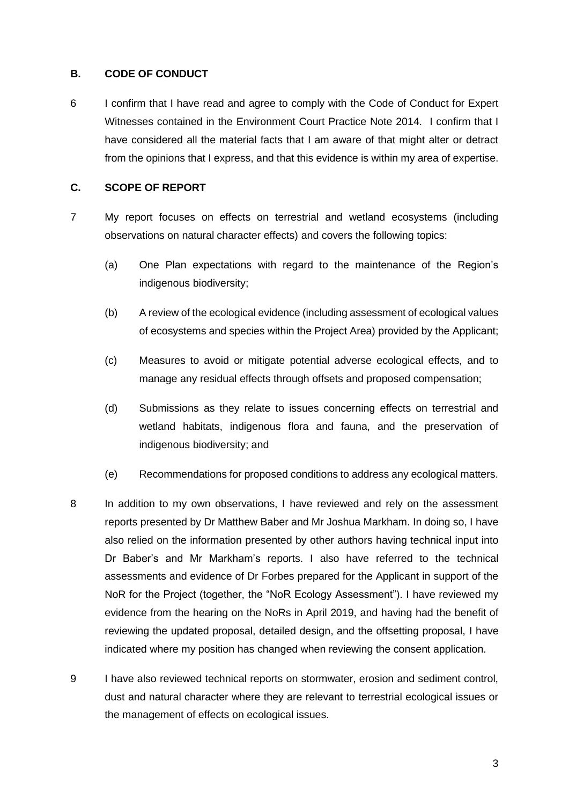## **B. CODE OF CONDUCT**

6 I confirm that I have read and agree to comply with the Code of Conduct for Expert Witnesses contained in the Environment Court Practice Note 2014. I confirm that I have considered all the material facts that I am aware of that might alter or detract from the opinions that I express, and that this evidence is within my area of expertise.

## **C. SCOPE OF REPORT**

- 7 My report focuses on effects on terrestrial and wetland ecosystems (including observations on natural character effects) and covers the following topics:
	- (a) One Plan expectations with regard to the maintenance of the Region's indigenous biodiversity;
	- (b) A review of the ecological evidence (including assessment of ecological values of ecosystems and species within the Project Area) provided by the Applicant;
	- (c) Measures to avoid or mitigate potential adverse ecological effects, and to manage any residual effects through offsets and proposed compensation;
	- (d) Submissions as they relate to issues concerning effects on terrestrial and wetland habitats, indigenous flora and fauna, and the preservation of indigenous biodiversity; and
	- (e) Recommendations for proposed conditions to address any ecological matters.
- 8 In addition to my own observations, I have reviewed and rely on the assessment reports presented by Dr Matthew Baber and Mr Joshua Markham. In doing so, I have also relied on the information presented by other authors having technical input into Dr Baber's and Mr Markham's reports. I also have referred to the technical assessments and evidence of Dr Forbes prepared for the Applicant in support of the NoR for the Project (together, the "NoR Ecology Assessment"). I have reviewed my evidence from the hearing on the NoRs in April 2019, and having had the benefit of reviewing the updated proposal, detailed design, and the offsetting proposal, I have indicated where my position has changed when reviewing the consent application.
- 9 I have also reviewed technical reports on stormwater, erosion and sediment control, dust and natural character where they are relevant to terrestrial ecological issues or the management of effects on ecological issues.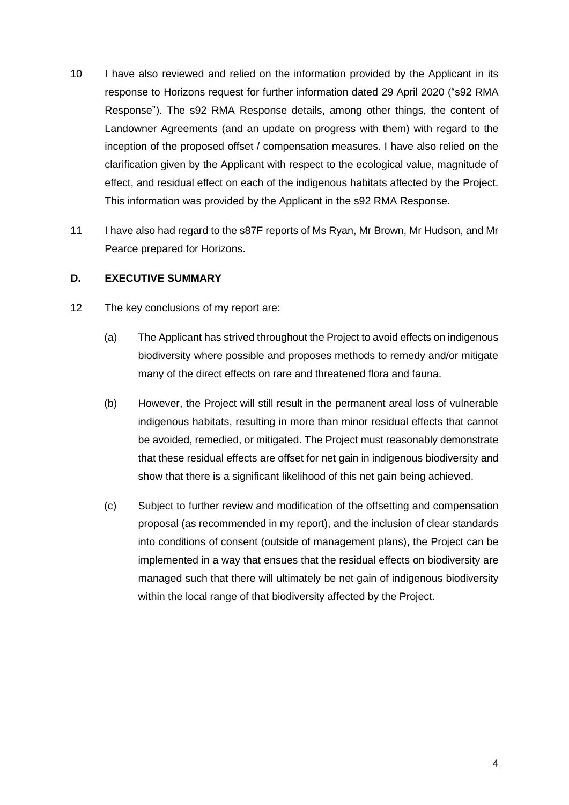- 10 I have also reviewed and relied on the information provided by the Applicant in its response to Horizons request for further information dated 29 April 2020 ("s92 RMA Response"). The s92 RMA Response details, among other things, the content of Landowner Agreements (and an update on progress with them) with regard to the inception of the proposed offset / compensation measures. I have also relied on the clarification given by the Applicant with respect to the ecological value, magnitude of effect, and residual effect on each of the indigenous habitats affected by the Project. This information was provided by the Applicant in the s92 RMA Response.
- 11 I have also had regard to the s87F reports of Ms Ryan, Mr Brown, Mr Hudson, and Mr Pearce prepared for Horizons.

## **D. EXECUTIVE SUMMARY**

- 12 The key conclusions of my report are:
	- (a) The Applicant has strived throughout the Project to avoid effects on indigenous biodiversity where possible and proposes methods to remedy and/or mitigate many of the direct effects on rare and threatened flora and fauna.
	- (b) However, the Project will still result in the permanent areal loss of vulnerable indigenous habitats, resulting in more than minor residual effects that cannot be avoided, remedied, or mitigated. The Project must reasonably demonstrate that these residual effects are offset for net gain in indigenous biodiversity and show that there is a significant likelihood of this net gain being achieved.
	- (c) Subject to further review and modification of the offsetting and compensation proposal (as recommended in my report), and the inclusion of clear standards into conditions of consent (outside of management plans), the Project can be implemented in a way that ensues that the residual effects on biodiversity are managed such that there will ultimately be net gain of indigenous biodiversity within the local range of that biodiversity affected by the Project.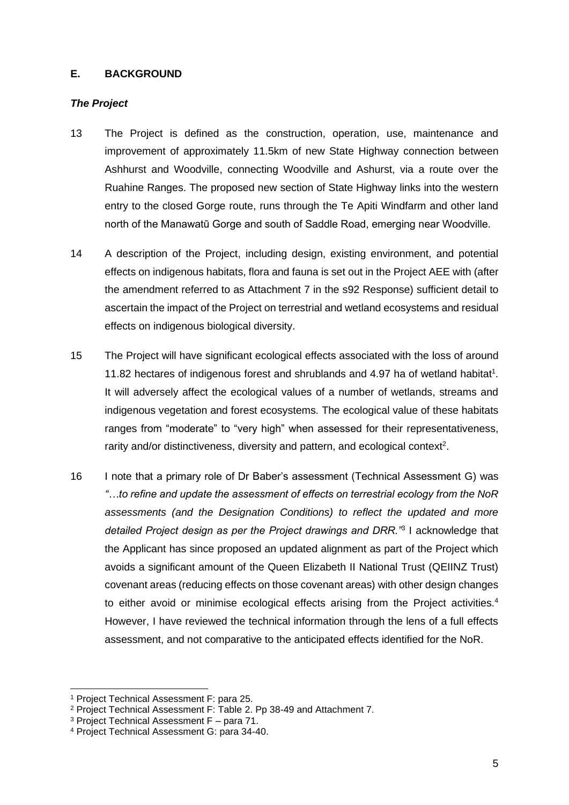## **E. BACKGROUND**

# *The Project*

- 13 The Project is defined as the construction, operation, use, maintenance and improvement of approximately 11.5km of new State Highway connection between Ashhurst and Woodville, connecting Woodville and Ashurst, via a route over the Ruahine Ranges. The proposed new section of State Highway links into the western entry to the closed Gorge route, runs through the Te Apiti Windfarm and other land north of the Manawatū Gorge and south of Saddle Road, emerging near Woodville.
- 14 A description of the Project, including design, existing environment, and potential effects on indigenous habitats, flora and fauna is set out in the Project AEE with (after the amendment referred to as Attachment 7 in the s92 Response) sufficient detail to ascertain the impact of the Project on terrestrial and wetland ecosystems and residual effects on indigenous biological diversity.
- 15 The Project will have significant ecological effects associated with the loss of around 11.82 hectares of indigenous forest and shrublands and 4.97 ha of wetland habitat<sup>1</sup>. It will adversely affect the ecological values of a number of wetlands, streams and indigenous vegetation and forest ecosystems. The ecological value of these habitats ranges from "moderate" to "very high" when assessed for their representativeness, rarity and/or distinctiveness, diversity and pattern, and ecological context<sup>2</sup>.
- 16 I note that a primary role of Dr Baber's assessment (Technical Assessment G) was *"…to refine and update the assessment of effects on terrestrial ecology from the NoR assessments (and the Designation Conditions) to reflect the updated and more detailed Project design as per the Project drawings and DRR."*<sup>3</sup> I acknowledge that the Applicant has since proposed an updated alignment as part of the Project which avoids a significant amount of the Queen Elizabeth II National Trust (QEIINZ Trust) covenant areas (reducing effects on those covenant areas) with other design changes to either avoid or minimise ecological effects arising from the Project activities.<sup>4</sup> However, I have reviewed the technical information through the lens of a full effects assessment, and not comparative to the anticipated effects identified for the NoR.

<sup>1</sup> Project Technical Assessment F: para 25.

<sup>2</sup> Project Technical Assessment F: Table 2. Pp 38-49 and Attachment 7.

<sup>3</sup> Project Technical Assessment F – para 71.

<sup>4</sup> Project Technical Assessment G: para 34-40.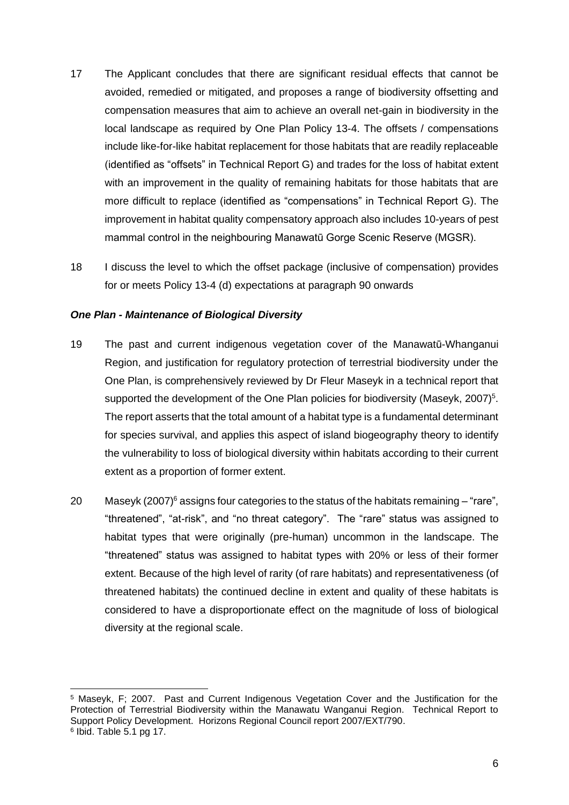- 17 The Applicant concludes that there are significant residual effects that cannot be avoided, remedied or mitigated, and proposes a range of biodiversity offsetting and compensation measures that aim to achieve an overall net-gain in biodiversity in the local landscape as required by One Plan Policy 13-4. The offsets / compensations include like-for-like habitat replacement for those habitats that are readily replaceable (identified as "offsets" in Technical Report G) and trades for the loss of habitat extent with an improvement in the quality of remaining habitats for those habitats that are more difficult to replace (identified as "compensations" in Technical Report G). The improvement in habitat quality compensatory approach also includes 10-years of pest mammal control in the neighbouring Manawatū Gorge Scenic Reserve (MGSR).
- 18 I discuss the level to which the offset package (inclusive of compensation) provides for or meets Policy 13-4 (d) expectations at paragraph 90 onwards

### *One Plan - Maintenance of Biological Diversity*

- 19 The past and current indigenous vegetation cover of the Manawatū-Whanganui Region, and justification for regulatory protection of terrestrial biodiversity under the One Plan, is comprehensively reviewed by Dr Fleur Maseyk in a technical report that supported the development of the One Plan policies for biodiversity (Maseyk, 2007) $5$ . The report asserts that the total amount of a habitat type is a fundamental determinant for species survival, and applies this aspect of island biogeography theory to identify the vulnerability to loss of biological diversity within habitats according to their current extent as a proportion of former extent.
- 20 Maseyk (2007) $^6$  assigns four categories to the status of the habitats remaining "rare", "threatened", "at-risk", and "no threat category". The "rare" status was assigned to habitat types that were originally (pre-human) uncommon in the landscape. The "threatened" status was assigned to habitat types with 20% or less of their former extent. Because of the high level of rarity (of rare habitats) and representativeness (of threatened habitats) the continued decline in extent and quality of these habitats is considered to have a disproportionate effect on the magnitude of loss of biological diversity at the regional scale.

<sup>5</sup> Maseyk, F; 2007. Past and Current Indigenous Vegetation Cover and the Justification for the Protection of Terrestrial Biodiversity within the Manawatu Wanganui Region. Technical Report to Support Policy Development. Horizons Regional Council report 2007/EXT/790. 6 Ibid. Table 5.1 pg 17.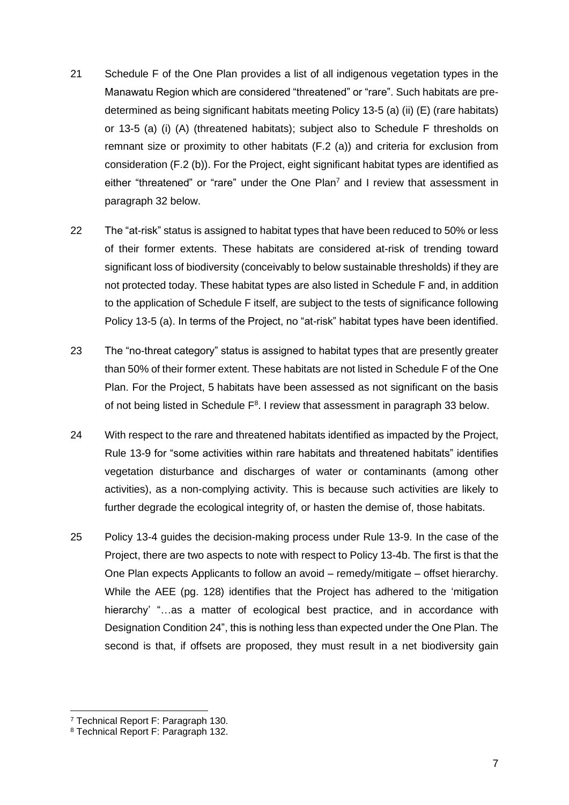- 21 Schedule F of the One Plan provides a list of all indigenous vegetation types in the Manawatu Region which are considered "threatened" or "rare". Such habitats are predetermined as being significant habitats meeting Policy 13-5 (a) (ii) (E) (rare habitats) or 13-5 (a) (i) (A) (threatened habitats); subject also to Schedule F thresholds on remnant size or proximity to other habitats (F.2 (a)) and criteria for exclusion from consideration (F.2 (b)). For the Project, eight significant habitat types are identified as either "threatened" or "rare" under the One Plan<sup>7</sup> and I review that assessment in paragraph 32 below.
- 22 The "at-risk" status is assigned to habitat types that have been reduced to 50% or less of their former extents. These habitats are considered at-risk of trending toward significant loss of biodiversity (conceivably to below sustainable thresholds) if they are not protected today. These habitat types are also listed in Schedule F and, in addition to the application of Schedule F itself, are subject to the tests of significance following Policy 13-5 (a). In terms of the Project, no "at-risk" habitat types have been identified.
- 23 The "no-threat category" status is assigned to habitat types that are presently greater than 50% of their former extent. These habitats are not listed in Schedule F of the One Plan. For the Project, 5 habitats have been assessed as not significant on the basis of not being listed in Schedule  $F<sup>8</sup>$ . I review that assessment in paragraph 33 below.
- 24 With respect to the rare and threatened habitats identified as impacted by the Project, Rule 13-9 for "some activities within rare habitats and threatened habitats" identifies vegetation disturbance and discharges of water or contaminants (among other activities), as a non-complying activity. This is because such activities are likely to further degrade the ecological integrity of, or hasten the demise of, those habitats.
- 25 Policy 13-4 guides the decision-making process under Rule 13-9. In the case of the Project, there are two aspects to note with respect to Policy 13-4b. The first is that the One Plan expects Applicants to follow an avoid – remedy/mitigate – offset hierarchy. While the AEE (pg. 128) identifies that the Project has adhered to the 'mitigation hierarchy' "...as a matter of ecological best practice, and in accordance with Designation Condition 24", this is nothing less than expected under the One Plan. The second is that, if offsets are proposed, they must result in a net biodiversity gain

<sup>7</sup> Technical Report F: Paragraph 130.

<sup>8</sup> Technical Report F: Paragraph 132.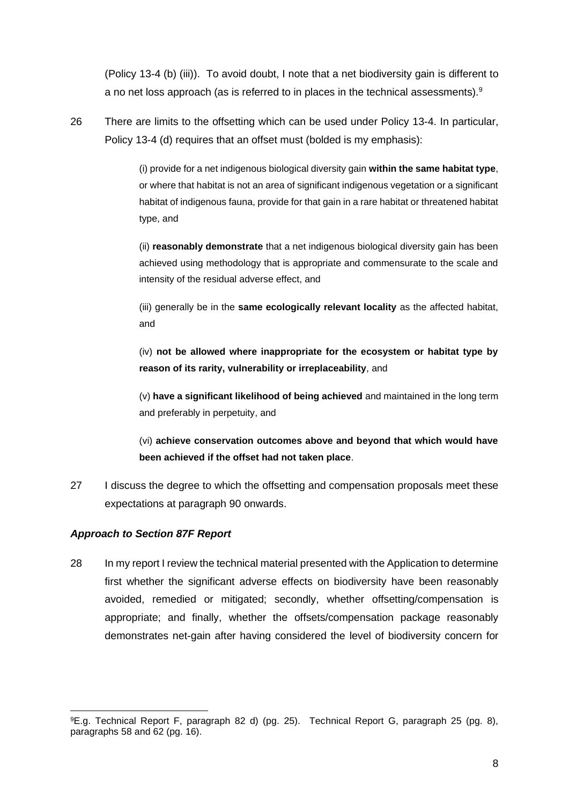(Policy 13-4 (b) (iii)). To avoid doubt, I note that a net biodiversity gain is different to a no net loss approach (as is referred to in places in the technical assessments).<sup>9</sup>

26 There are limits to the offsetting which can be used under Policy 13-4. In particular, Policy 13-4 (d) requires that an offset must (bolded is my emphasis):

> (i) provide for a net indigenous biological diversity gain **within the same habitat type**, or where that habitat is not an area of significant indigenous vegetation or a significant habitat of indigenous fauna, provide for that gain in a rare habitat or threatened habitat type, and

> (ii) **reasonably demonstrate** that a net indigenous biological diversity gain has been achieved using methodology that is appropriate and commensurate to the scale and intensity of the residual adverse effect, and

> (iii) generally be in the **same ecologically relevant locality** as the affected habitat, and

> (iv) **not be allowed where inappropriate for the ecosystem or habitat type by reason of its rarity, vulnerability or irreplaceability**, and

> (v) **have a significant likelihood of being achieved** and maintained in the long term and preferably in perpetuity, and

> (vi) **achieve conservation outcomes above and beyond that which would have been achieved if the offset had not taken place**.

27 I discuss the degree to which the offsetting and compensation proposals meet these expectations at paragraph 90 onwards.

# *Approach to Section 87F Report*

28 In my report I review the technical material presented with the Application to determine first whether the significant adverse effects on biodiversity have been reasonably avoided, remedied or mitigated; secondly, whether offsetting/compensation is appropriate; and finally, whether the offsets/compensation package reasonably demonstrates net-gain after having considered the level of biodiversity concern for

<sup>9</sup>E.g. Technical Report F, paragraph 82 d) (pg. 25). Technical Report G, paragraph 25 (pg. 8), paragraphs 58 and 62 (pg. 16).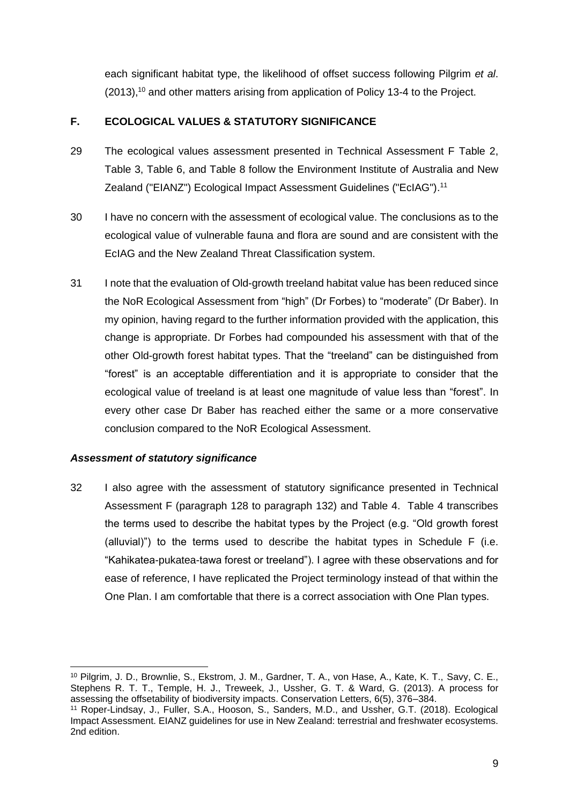each significant habitat type, the likelihood of offset success following Pilgrim *et al*. (2013), <sup>10</sup> and other matters arising from application of Policy 13-4 to the Project.

# **F. ECOLOGICAL VALUES & STATUTORY SIGNIFICANCE**

- 29 The ecological values assessment presented in Technical Assessment F Table 2, Table 3, Table 6, and Table 8 follow the Environment Institute of Australia and New Zealand ("EIANZ") Ecological Impact Assessment Guidelines ("EcIAG").<sup>11</sup>
- 30 I have no concern with the assessment of ecological value. The conclusions as to the ecological value of vulnerable fauna and flora are sound and are consistent with the EcIAG and the New Zealand Threat Classification system.
- 31 I note that the evaluation of Old-growth treeland habitat value has been reduced since the NoR Ecological Assessment from "high" (Dr Forbes) to "moderate" (Dr Baber). In my opinion, having regard to the further information provided with the application, this change is appropriate. Dr Forbes had compounded his assessment with that of the other Old-growth forest habitat types. That the "treeland" can be distinguished from "forest" is an acceptable differentiation and it is appropriate to consider that the ecological value of treeland is at least one magnitude of value less than "forest". In every other case Dr Baber has reached either the same or a more conservative conclusion compared to the NoR Ecological Assessment.

# *Assessment of statutory significance*

32 I also agree with the assessment of statutory significance presented in Technical Assessment F (paragraph 128 to paragraph 132) and Table 4. Table 4 transcribes the terms used to describe the habitat types by the Project (e.g. "Old growth forest (alluvial)") to the terms used to describe the habitat types in Schedule F (i.e. "Kahikatea-pukatea-tawa forest or treeland"). I agree with these observations and for ease of reference, I have replicated the Project terminology instead of that within the One Plan. I am comfortable that there is a correct association with One Plan types.

<sup>10</sup> Pilgrim, J. D., Brownlie, S., Ekstrom, J. M., Gardner, T. A., von Hase, A., Kate, K. T., Savy, C. E., Stephens R. T. T., Temple, H. J., Treweek, J., Ussher, G. T. & Ward, G. (2013). A process for assessing the offsetability of biodiversity impacts. Conservation Letters, 6(5), 376–384.

<sup>11</sup> Roper-Lindsay, J., Fuller, S.A., Hooson, S., Sanders, M.D., and Ussher, G.T. (2018). Ecological Impact Assessment. EIANZ guidelines for use in New Zealand: terrestrial and freshwater ecosystems. 2nd edition.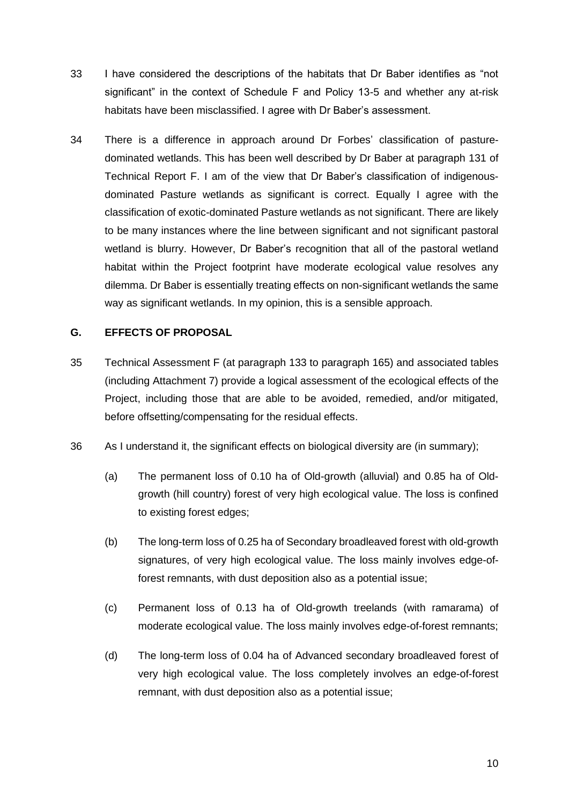- 33 I have considered the descriptions of the habitats that Dr Baber identifies as "not significant" in the context of Schedule F and Policy 13-5 and whether any at-risk habitats have been misclassified. I agree with Dr Baber's assessment.
- 34 There is a difference in approach around Dr Forbes' classification of pasturedominated wetlands. This has been well described by Dr Baber at paragraph 131 of Technical Report F. I am of the view that Dr Baber's classification of indigenousdominated Pasture wetlands as significant is correct. Equally I agree with the classification of exotic-dominated Pasture wetlands as not significant. There are likely to be many instances where the line between significant and not significant pastoral wetland is blurry. However, Dr Baber's recognition that all of the pastoral wetland habitat within the Project footprint have moderate ecological value resolves any dilemma. Dr Baber is essentially treating effects on non-significant wetlands the same way as significant wetlands. In my opinion, this is a sensible approach.

# **G. EFFECTS OF PROPOSAL**

- 35 Technical Assessment F (at paragraph 133 to paragraph 165) and associated tables (including Attachment 7) provide a logical assessment of the ecological effects of the Project, including those that are able to be avoided, remedied, and/or mitigated, before offsetting/compensating for the residual effects.
- 36 As I understand it, the significant effects on biological diversity are (in summary);
	- (a) The permanent loss of 0.10 ha of Old-growth (alluvial) and 0.85 ha of Oldgrowth (hill country) forest of very high ecological value. The loss is confined to existing forest edges;
	- (b) The long-term loss of 0.25 ha of Secondary broadleaved forest with old-growth signatures, of very high ecological value. The loss mainly involves edge-offorest remnants, with dust deposition also as a potential issue;
	- (c) Permanent loss of 0.13 ha of Old-growth treelands (with ramarama) of moderate ecological value. The loss mainly involves edge-of-forest remnants;
	- (d) The long-term loss of 0.04 ha of Advanced secondary broadleaved forest of very high ecological value. The loss completely involves an edge-of-forest remnant, with dust deposition also as a potential issue;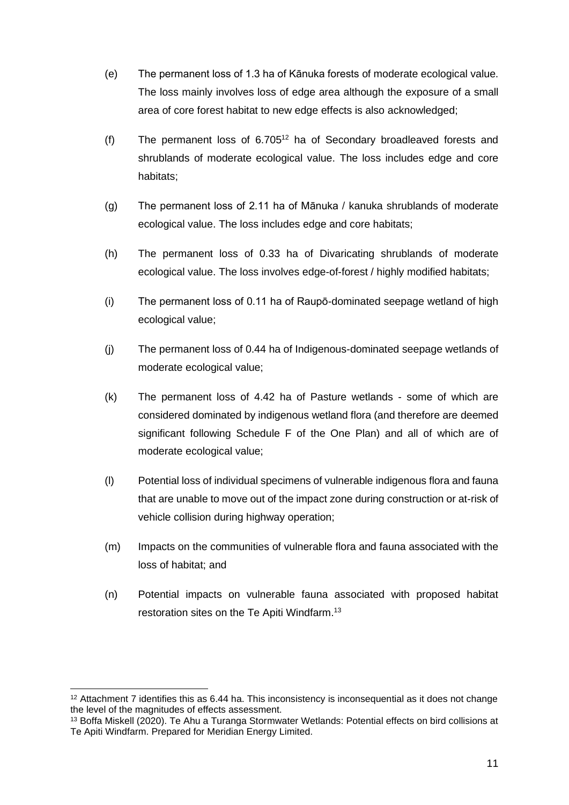- (e) The permanent loss of 1.3 ha of Kānuka forests of moderate ecological value. The loss mainly involves loss of edge area although the exposure of a small area of core forest habitat to new edge effects is also acknowledged;
- (f) The permanent loss of  $6.705^{12}$  ha of Secondary broadleaved forests and shrublands of moderate ecological value. The loss includes edge and core habitats;
- (g) The permanent loss of 2.11 ha of Mānuka / kanuka shrublands of moderate ecological value. The loss includes edge and core habitats;
- (h) The permanent loss of 0.33 ha of Divaricating shrublands of moderate ecological value. The loss involves edge-of-forest / highly modified habitats;
- (i) The permanent loss of 0.11 ha of Raupō-dominated seepage wetland of high ecological value;
- (j) The permanent loss of 0.44 ha of Indigenous-dominated seepage wetlands of moderate ecological value;
- (k) The permanent loss of 4.42 ha of Pasture wetlands some of which are considered dominated by indigenous wetland flora (and therefore are deemed significant following Schedule F of the One Plan) and all of which are of moderate ecological value;
- (l) Potential loss of individual specimens of vulnerable indigenous flora and fauna that are unable to move out of the impact zone during construction or at-risk of vehicle collision during highway operation;
- (m) Impacts on the communities of vulnerable flora and fauna associated with the loss of habitat; and
- (n) Potential impacts on vulnerable fauna associated with proposed habitat restoration sites on the Te Apiti Windfarm.<sup>13</sup>

<sup>12</sup> Attachment 7 identifies this as 6.44 ha. This inconsistency is inconsequential as it does not change the level of the magnitudes of effects assessment.

<sup>&</sup>lt;sup>13</sup> Boffa Miskell (2020). Te Ahu a Turanga Stormwater Wetlands: Potential effects on bird collisions at Te Apiti Windfarm. Prepared for Meridian Energy Limited.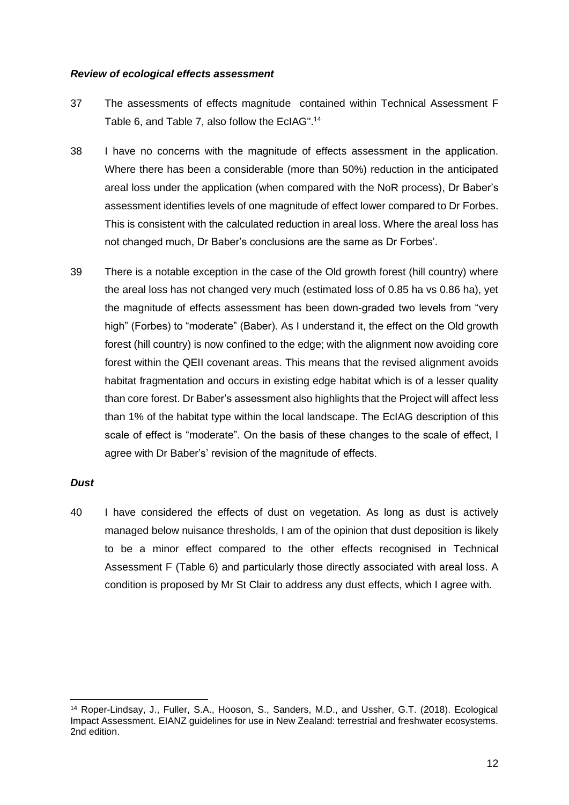#### *Review of ecological effects assessment*

- 37 The assessments of effects magnitude contained within Technical Assessment F Table 6, and Table 7, also follow the EcIAG".<sup>14</sup>
- 38 I have no concerns with the magnitude of effects assessment in the application. Where there has been a considerable (more than 50%) reduction in the anticipated areal loss under the application (when compared with the NoR process), Dr Baber's assessment identifies levels of one magnitude of effect lower compared to Dr Forbes. This is consistent with the calculated reduction in areal loss. Where the areal loss has not changed much, Dr Baber's conclusions are the same as Dr Forbes'.
- 39 There is a notable exception in the case of the Old growth forest (hill country) where the areal loss has not changed very much (estimated loss of 0.85 ha vs 0.86 ha), yet the magnitude of effects assessment has been down-graded two levels from "very high" (Forbes) to "moderate" (Baber). As I understand it, the effect on the Old growth forest (hill country) is now confined to the edge; with the alignment now avoiding core forest within the QEII covenant areas. This means that the revised alignment avoids habitat fragmentation and occurs in existing edge habitat which is of a lesser quality than core forest. Dr Baber's assessment also highlights that the Project will affect less than 1% of the habitat type within the local landscape. The EcIAG description of this scale of effect is "moderate". On the basis of these changes to the scale of effect, I agree with Dr Baber's' revision of the magnitude of effects.

### *Dust*

40 I have considered the effects of dust on vegetation. As long as dust is actively managed below nuisance thresholds, I am of the opinion that dust deposition is likely to be a minor effect compared to the other effects recognised in Technical Assessment F (Table 6) and particularly those directly associated with areal loss. A condition is proposed by Mr St Clair to address any dust effects, which I agree with.

<sup>14</sup> Roper-Lindsay, J., Fuller, S.A., Hooson, S., Sanders, M.D., and Ussher, G.T. (2018). Ecological Impact Assessment. EIANZ guidelines for use in New Zealand: terrestrial and freshwater ecosystems. 2nd edition.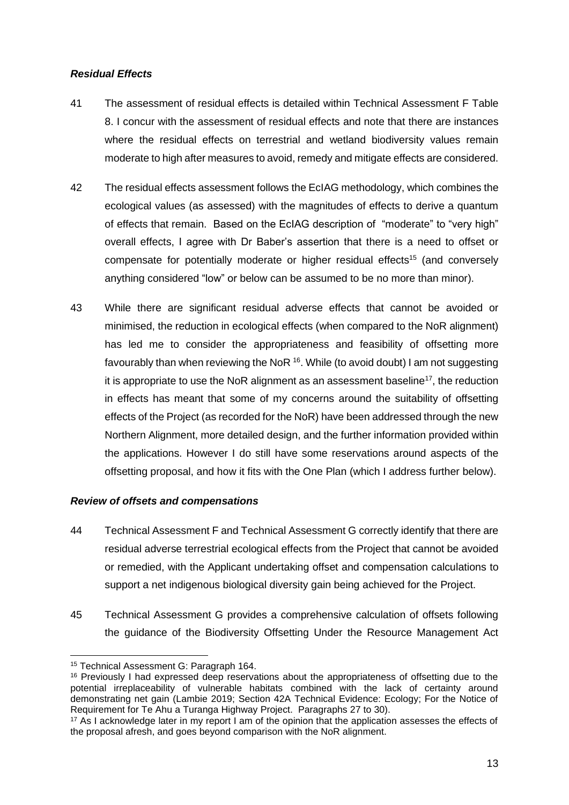## *Residual Effects*

- 41 The assessment of residual effects is detailed within Technical Assessment F Table 8. I concur with the assessment of residual effects and note that there are instances where the residual effects on terrestrial and wetland biodiversity values remain moderate to high after measures to avoid, remedy and mitigate effects are considered.
- 42 The residual effects assessment follows the EcIAG methodology, which combines the ecological values (as assessed) with the magnitudes of effects to derive a quantum of effects that remain. Based on the EcIAG description of "moderate" to "very high" overall effects, I agree with Dr Baber's assertion that there is a need to offset or compensate for potentially moderate or higher residual effects<sup>15</sup> (and conversely anything considered "low" or below can be assumed to be no more than minor).
- 43 While there are significant residual adverse effects that cannot be avoided or minimised, the reduction in ecological effects (when compared to the NoR alignment) has led me to consider the appropriateness and feasibility of offsetting more favourably than when reviewing the NoR <sup>16</sup>. While (to avoid doubt) I am not suggesting it is appropriate to use the NoR alignment as an assessment baseline<sup>17</sup>, the reduction in effects has meant that some of my concerns around the suitability of offsetting effects of the Project (as recorded for the NoR) have been addressed through the new Northern Alignment, more detailed design, and the further information provided within the applications. However I do still have some reservations around aspects of the offsetting proposal, and how it fits with the One Plan (which I address further below).

### *Review of offsets and compensations*

- 44 Technical Assessment F and Technical Assessment G correctly identify that there are residual adverse terrestrial ecological effects from the Project that cannot be avoided or remedied, with the Applicant undertaking offset and compensation calculations to support a net indigenous biological diversity gain being achieved for the Project.
- 45 Technical Assessment G provides a comprehensive calculation of offsets following the guidance of the Biodiversity Offsetting Under the Resource Management Act

<sup>15</sup> Technical Assessment G: Paragraph 164.

<sup>&</sup>lt;sup>16</sup> Previously I had expressed deep reservations about the appropriateness of offsetting due to the potential irreplaceability of vulnerable habitats combined with the lack of certainty around demonstrating net gain (Lambie 2019; Section 42A Technical Evidence: Ecology; For the Notice of Requirement for Te Ahu a Turanga Highway Project. Paragraphs 27 to 30).

<sup>17</sup> As I acknowledge later in my report I am of the opinion that the application assesses the effects of the proposal afresh, and goes beyond comparison with the NoR alignment.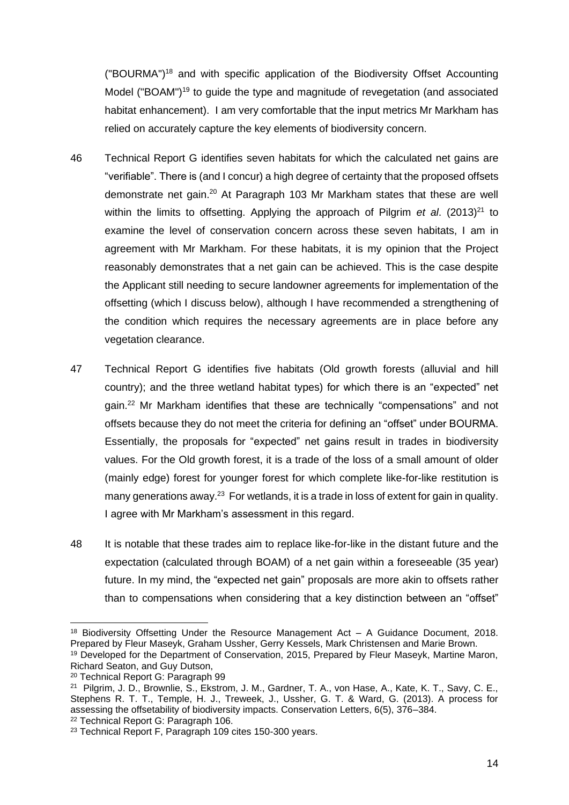("BOURMA")<sup>18</sup> and with specific application of the Biodiversity Offset Accounting Model ("BOAM")<sup>19</sup> to guide the type and magnitude of revegetation (and associated habitat enhancement). I am very comfortable that the input metrics Mr Markham has relied on accurately capture the key elements of biodiversity concern.

- 46 Technical Report G identifies seven habitats for which the calculated net gains are "verifiable". There is (and I concur) a high degree of certainty that the proposed offsets demonstrate net gain.<sup>20</sup> At Paragraph 103 Mr Markham states that these are well within the limits to offsetting. Applying the approach of Pilgrim *et al.* (2013)<sup>21</sup> to examine the level of conservation concern across these seven habitats, I am in agreement with Mr Markham. For these habitats, it is my opinion that the Project reasonably demonstrates that a net gain can be achieved. This is the case despite the Applicant still needing to secure landowner agreements for implementation of the offsetting (which I discuss below), although I have recommended a strengthening of the condition which requires the necessary agreements are in place before any vegetation clearance.
- 47 Technical Report G identifies five habitats (Old growth forests (alluvial and hill country); and the three wetland habitat types) for which there is an "expected" net gain. <sup>22</sup> Mr Markham identifies that these are technically "compensations" and not offsets because they do not meet the criteria for defining an "offset" under BOURMA. Essentially, the proposals for "expected" net gains result in trades in biodiversity values. For the Old growth forest, it is a trade of the loss of a small amount of older (mainly edge) forest for younger forest for which complete like-for-like restitution is many generations away.<sup>23</sup> For wetlands, it is a trade in loss of extent for gain in quality. I agree with Mr Markham's assessment in this regard.
- 48 It is notable that these trades aim to replace like-for-like in the distant future and the expectation (calculated through BOAM) of a net gain within a foreseeable (35 year) future. In my mind, the "expected net gain" proposals are more akin to offsets rather than to compensations when considering that a key distinction between an "offset"

<sup>&</sup>lt;sup>18</sup> Biodiversity Offsetting Under the Resource Management Act - A Guidance Document, 2018. Prepared by Fleur Maseyk, Graham Ussher, Gerry Kessels, Mark Christensen and Marie Brown.

<sup>19</sup> Developed for the Department of Conservation, 2015, Prepared by Fleur Maseyk, Martine Maron, Richard Seaton, and Guy Dutson,

<sup>20</sup> Technical Report G: Paragraph 99

<sup>21</sup> Pilgrim, J. D., Brownlie, S., Ekstrom, J. M., Gardner, T. A., von Hase, A., Kate, K. T., Savy, C. E., Stephens R. T. T., Temple, H. J., Treweek, J., Ussher, G. T. & Ward, G. (2013). A process for assessing the offsetability of biodiversity impacts. Conservation Letters, 6(5), 376–384.

<sup>22</sup> Technical Report G: Paragraph 106.

<sup>23</sup> Technical Report F, Paragraph 109 cites 150-300 years.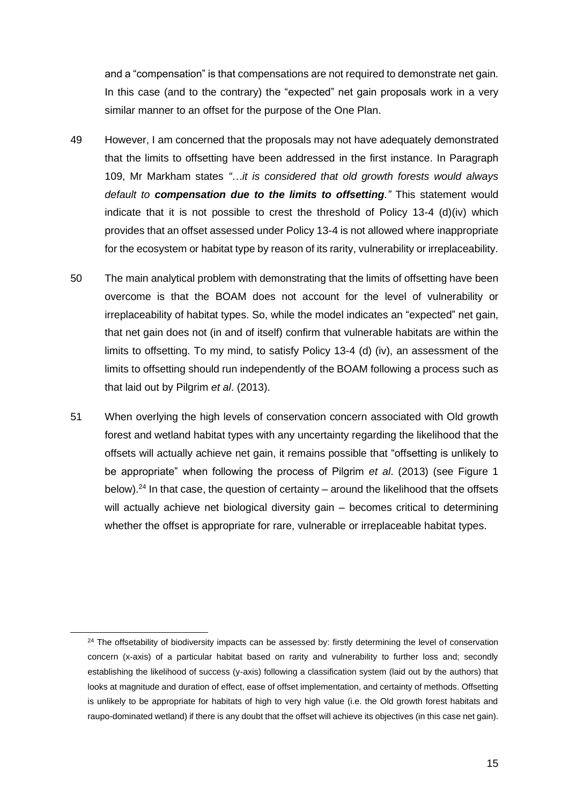and a "compensation" is that compensations are not required to demonstrate net gain. In this case (and to the contrary) the "expected" net gain proposals work in a very similar manner to an offset for the purpose of the One Plan.

- 49 However, I am concerned that the proposals may not have adequately demonstrated that the limits to offsetting have been addressed in the first instance. In Paragraph 109, Mr Markham states *"…it is considered that old growth forests would always default to compensation due to the limits to offsetting."* This statement would indicate that it is not possible to crest the threshold of Policy 13-4 (d)(iv) which provides that an offset assessed under Policy 13-4 is not allowed where inappropriate for the ecosystem or habitat type by reason of its rarity, vulnerability or irreplaceability.
- 50 The main analytical problem with demonstrating that the limits of offsetting have been overcome is that the BOAM does not account for the level of vulnerability or irreplaceability of habitat types. So, while the model indicates an "expected" net gain, that net gain does not (in and of itself) confirm that vulnerable habitats are within the limits to offsetting. To my mind, to satisfy Policy 13-4 (d) (iv), an assessment of the limits to offsetting should run independently of the BOAM following a process such as that laid out by Pilgrim *et al*. (2013).
- 51 When overlying the high levels of conservation concern associated with Old growth forest and wetland habitat types with any uncertainty regarding the likelihood that the offsets will actually achieve net gain, it remains possible that "offsetting is unlikely to be appropriate" when following the process of Pilgrim *et al*. (2013) (see Figure 1 below).<sup>24</sup> In that case, the question of certainty – around the likelihood that the offsets will actually achieve net biological diversity gain – becomes critical to determining whether the offset is appropriate for rare, vulnerable or irreplaceable habitat types.

<sup>&</sup>lt;sup>24</sup> The offsetability of biodiversity impacts can be assessed by: firstly determining the level of conservation concern (x-axis) of a particular habitat based on rarity and vulnerability to further loss and; secondly establishing the likelihood of success (y-axis) following a classification system (laid out by the authors) that looks at magnitude and duration of effect, ease of offset implementation, and certainty of methods. Offsetting is unlikely to be appropriate for habitats of high to very high value (i.e. the Old growth forest habitats and raupo-dominated wetland) if there is any doubt that the offset will achieve its objectives (in this case net gain).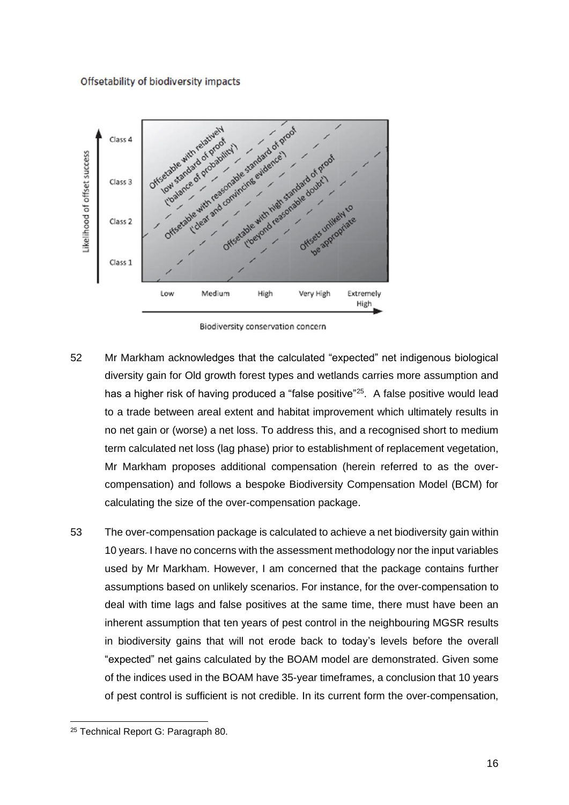#### Offsetability of biodiversity impacts



Biodiversity conservation concern

- 52 Mr Markham acknowledges that the calculated "expected" net indigenous biological diversity gain for Old growth forest types and wetlands carries more assumption and has a higher risk of having produced a "false positive"<sup>25</sup>. A false positive would lead to a trade between areal extent and habitat improvement which ultimately results in no net gain or (worse) a net loss. To address this, and a recognised short to medium term calculated net loss (lag phase) prior to establishment of replacement vegetation, Mr Markham proposes additional compensation (herein referred to as the overcompensation) and follows a bespoke Biodiversity Compensation Model (BCM) for calculating the size of the over-compensation package.
- 53 The over-compensation package is calculated to achieve a net biodiversity gain within 10 years. I have no concerns with the assessment methodology nor the input variables used by Mr Markham. However, I am concerned that the package contains further assumptions based on unlikely scenarios. For instance, for the over-compensation to deal with time lags and false positives at the same time, there must have been an inherent assumption that ten years of pest control in the neighbouring MGSR results in biodiversity gains that will not erode back to today's levels before the overall "expected" net gains calculated by the BOAM model are demonstrated. Given some of the indices used in the BOAM have 35-year timeframes, a conclusion that 10 years of pest control is sufficient is not credible. In its current form the over-compensation,

<sup>&</sup>lt;sup>25</sup> Technical Report G: Paragraph 80.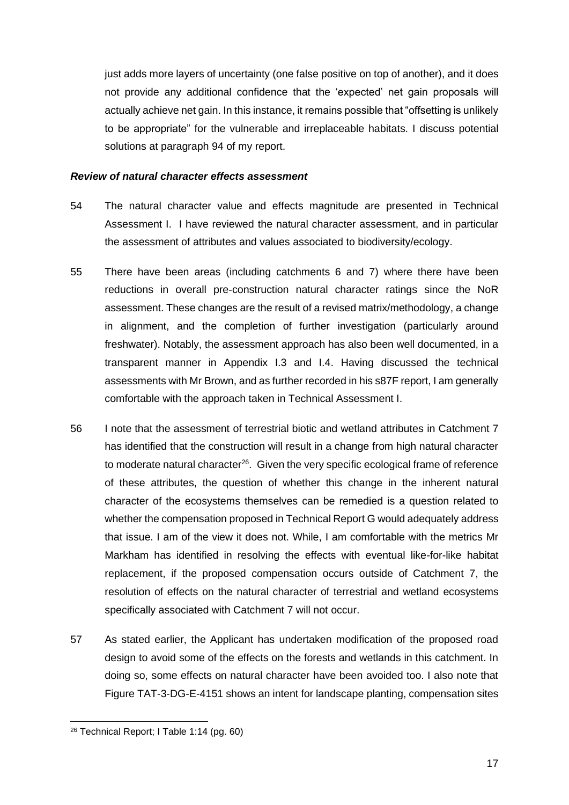just adds more layers of uncertainty (one false positive on top of another), and it does not provide any additional confidence that the 'expected' net gain proposals will actually achieve net gain. In this instance, it remains possible that "offsetting is unlikely to be appropriate" for the vulnerable and irreplaceable habitats. I discuss potential solutions at paragraph 94 of my report.

## *Review of natural character effects assessment*

- 54 The natural character value and effects magnitude are presented in Technical Assessment I. I have reviewed the natural character assessment, and in particular the assessment of attributes and values associated to biodiversity/ecology.
- 55 There have been areas (including catchments 6 and 7) where there have been reductions in overall pre-construction natural character ratings since the NoR assessment. These changes are the result of a revised matrix/methodology, a change in alignment, and the completion of further investigation (particularly around freshwater). Notably, the assessment approach has also been well documented, in a transparent manner in Appendix I.3 and I.4. Having discussed the technical assessments with Mr Brown, and as further recorded in his s87F report, I am generally comfortable with the approach taken in Technical Assessment I.
- 56 I note that the assessment of terrestrial biotic and wetland attributes in Catchment 7 has identified that the construction will result in a change from high natural character to moderate natural character<sup>26</sup>. Given the very specific ecological frame of reference of these attributes, the question of whether this change in the inherent natural character of the ecosystems themselves can be remedied is a question related to whether the compensation proposed in Technical Report G would adequately address that issue. I am of the view it does not. While, I am comfortable with the metrics Mr Markham has identified in resolving the effects with eventual like-for-like habitat replacement, if the proposed compensation occurs outside of Catchment 7, the resolution of effects on the natural character of terrestrial and wetland ecosystems specifically associated with Catchment 7 will not occur.
- 57 As stated earlier, the Applicant has undertaken modification of the proposed road design to avoid some of the effects on the forests and wetlands in this catchment. In doing so, some effects on natural character have been avoided too. I also note that Figure TAT-3-DG-E-4151 shows an intent for landscape planting, compensation sites

<sup>26</sup> Technical Report; I Table 1:14 (pg. 60)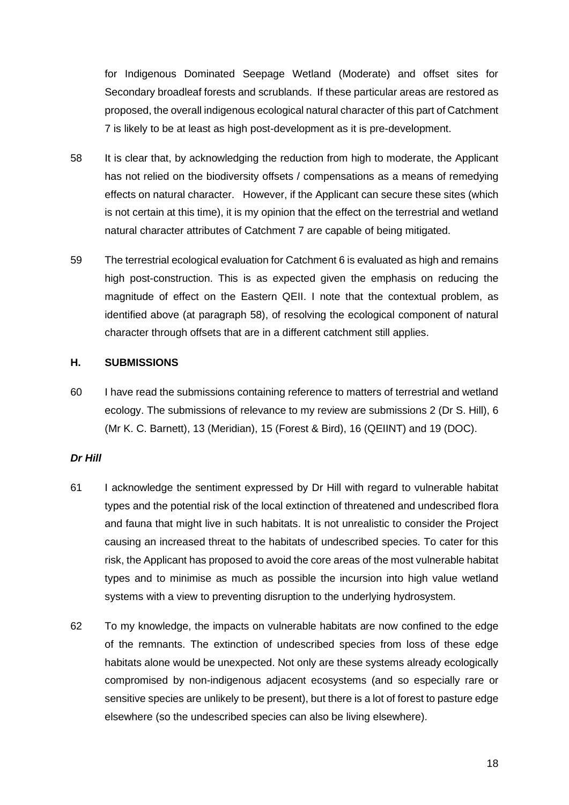for Indigenous Dominated Seepage Wetland (Moderate) and offset sites for Secondary broadleaf forests and scrublands. If these particular areas are restored as proposed, the overall indigenous ecological natural character of this part of Catchment 7 is likely to be at least as high post-development as it is pre-development.

- 58 It is clear that, by acknowledging the reduction from high to moderate, the Applicant has not relied on the biodiversity offsets / compensations as a means of remedying effects on natural character. However, if the Applicant can secure these sites (which is not certain at this time), it is my opinion that the effect on the terrestrial and wetland natural character attributes of Catchment 7 are capable of being mitigated.
- 59 The terrestrial ecological evaluation for Catchment 6 is evaluated as high and remains high post-construction. This is as expected given the emphasis on reducing the magnitude of effect on the Eastern QEII. I note that the contextual problem, as identified above (at paragraph 58), of resolving the ecological component of natural character through offsets that are in a different catchment still applies.

### **H. SUBMISSIONS**

60 I have read the submissions containing reference to matters of terrestrial and wetland ecology. The submissions of relevance to my review are submissions 2 (Dr S. Hill), 6 (Mr K. C. Barnett), 13 (Meridian), 15 (Forest & Bird), 16 (QEIINT) and 19 (DOC).

#### *Dr Hill*

- 61 I acknowledge the sentiment expressed by Dr Hill with regard to vulnerable habitat types and the potential risk of the local extinction of threatened and undescribed flora and fauna that might live in such habitats. It is not unrealistic to consider the Project causing an increased threat to the habitats of undescribed species. To cater for this risk, the Applicant has proposed to avoid the core areas of the most vulnerable habitat types and to minimise as much as possible the incursion into high value wetland systems with a view to preventing disruption to the underlying hydrosystem.
- 62 To my knowledge, the impacts on vulnerable habitats are now confined to the edge of the remnants. The extinction of undescribed species from loss of these edge habitats alone would be unexpected. Not only are these systems already ecologically compromised by non-indigenous adjacent ecosystems (and so especially rare or sensitive species are unlikely to be present), but there is a lot of forest to pasture edge elsewhere (so the undescribed species can also be living elsewhere).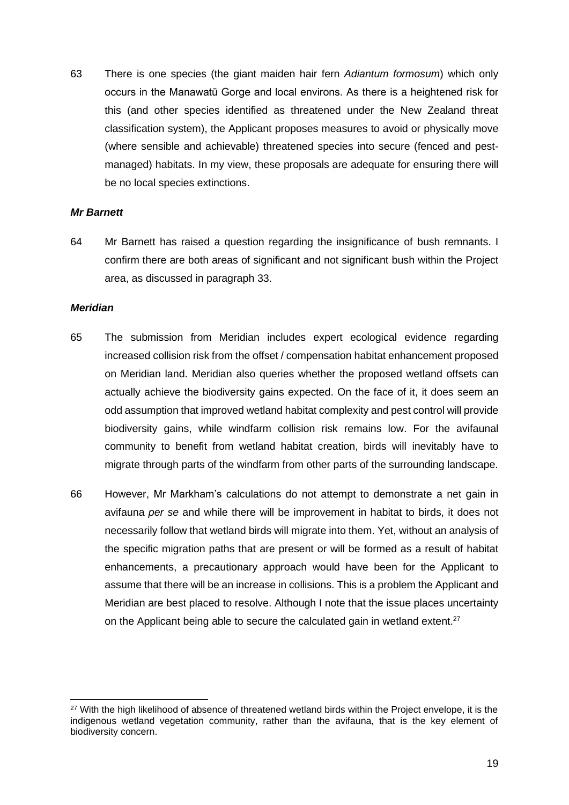63 There is one species (the giant maiden hair fern *Adiantum formosum*) which only occurs in the Manawatū Gorge and local environs. As there is a heightened risk for this (and other species identified as threatened under the New Zealand threat classification system), the Applicant proposes measures to avoid or physically move (where sensible and achievable) threatened species into secure (fenced and pestmanaged) habitats. In my view, these proposals are adequate for ensuring there will be no local species extinctions.

#### *Mr Barnett*

64 Mr Barnett has raised a question regarding the insignificance of bush remnants. I confirm there are both areas of significant and not significant bush within the Project area, as discussed in paragraph 33.

#### *Meridian*

- 65 The submission from Meridian includes expert ecological evidence regarding increased collision risk from the offset / compensation habitat enhancement proposed on Meridian land. Meridian also queries whether the proposed wetland offsets can actually achieve the biodiversity gains expected. On the face of it, it does seem an odd assumption that improved wetland habitat complexity and pest control will provide biodiversity gains, while windfarm collision risk remains low. For the avifaunal community to benefit from wetland habitat creation, birds will inevitably have to migrate through parts of the windfarm from other parts of the surrounding landscape.
- 66 However, Mr Markham's calculations do not attempt to demonstrate a net gain in avifauna *per se* and while there will be improvement in habitat to birds, it does not necessarily follow that wetland birds will migrate into them. Yet, without an analysis of the specific migration paths that are present or will be formed as a result of habitat enhancements, a precautionary approach would have been for the Applicant to assume that there will be an increase in collisions. This is a problem the Applicant and Meridian are best placed to resolve. Although I note that the issue places uncertainty on the Applicant being able to secure the calculated gain in wetland extent.<sup>27</sup>

<sup>&</sup>lt;sup>27</sup> With the high likelihood of absence of threatened wetland birds within the Project envelope, it is the indigenous wetland vegetation community, rather than the avifauna, that is the key element of biodiversity concern.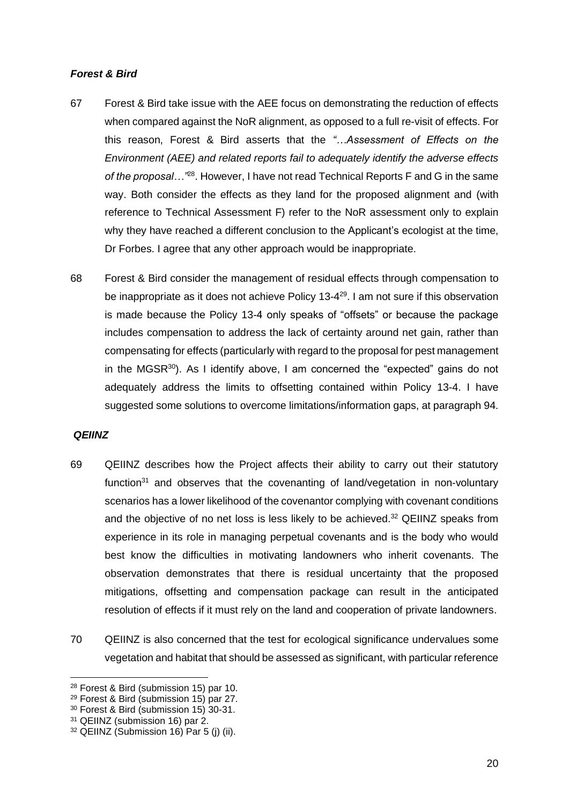## *Forest & Bird*

- 67 Forest & Bird take issue with the AEE focus on demonstrating the reduction of effects when compared against the NoR alignment, as opposed to a full re-visit of effects. For this reason, Forest & Bird asserts that the *"…Assessment of Effects on the Environment (AEE) and related reports fail to adequately identify the adverse effects*  of the proposal...<sup>"28</sup>. However, I have not read Technical Reports F and G in the same way. Both consider the effects as they land for the proposed alignment and (with reference to Technical Assessment F) refer to the NoR assessment only to explain why they have reached a different conclusion to the Applicant's ecologist at the time, Dr Forbes. I agree that any other approach would be inappropriate.
- 68 Forest & Bird consider the management of residual effects through compensation to be inappropriate as it does not achieve Policy 13-4<sup>29</sup>. I am not sure if this observation is made because the Policy 13-4 only speaks of "offsets" or because the package includes compensation to address the lack of certainty around net gain, rather than compensating for effects (particularly with regard to the proposal for pest management in the MGSR $30$ ). As I identify above, I am concerned the "expected" gains do not adequately address the limits to offsetting contained within Policy 13-4. I have suggested some solutions to overcome limitations/information gaps, at paragraph 94.

### *QEIINZ*

- 69 QEIINZ describes how the Project affects their ability to carry out their statutory function $31$  and observes that the covenanting of land/vegetation in non-voluntary scenarios has a lower likelihood of the covenantor complying with covenant conditions and the objective of no net loss is less likely to be achieved.<sup>32</sup> QEIINZ speaks from experience in its role in managing perpetual covenants and is the body who would best know the difficulties in motivating landowners who inherit covenants. The observation demonstrates that there is residual uncertainty that the proposed mitigations, offsetting and compensation package can result in the anticipated resolution of effects if it must rely on the land and cooperation of private landowners.
- 70 QEIINZ is also concerned that the test for ecological significance undervalues some vegetation and habitat that should be assessed as significant, with particular reference

<sup>28</sup> Forest & Bird (submission 15) par 10.

<sup>29</sup> Forest & Bird (submission 15) par 27.

<sup>30</sup> Forest & Bird (submission 15) 30-31.

<sup>31</sup> QEIINZ (submission 16) par 2.

 $32$  QEIINZ (Submission 16) Par 5 (j) (ii).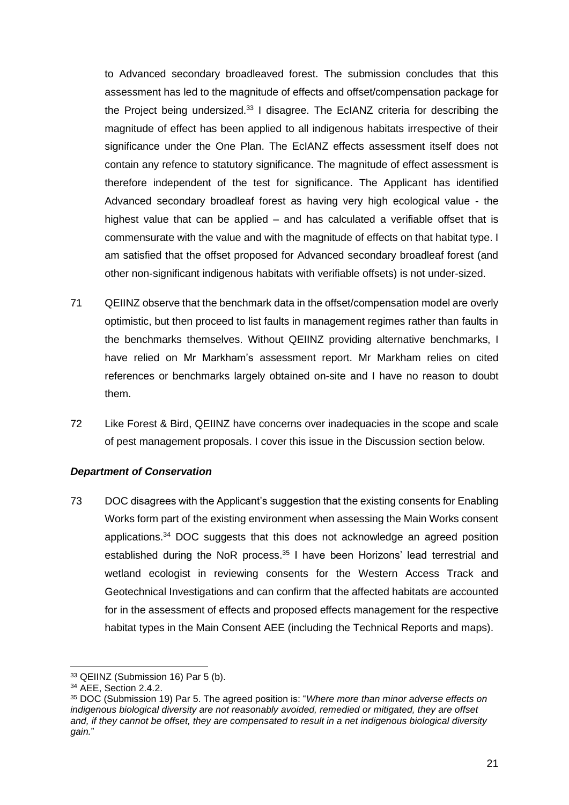to Advanced secondary broadleaved forest. The submission concludes that this assessment has led to the magnitude of effects and offset/compensation package for the Project being undersized.<sup>33</sup> I disagree. The EcIANZ criteria for describing the magnitude of effect has been applied to all indigenous habitats irrespective of their significance under the One Plan. The EcIANZ effects assessment itself does not contain any refence to statutory significance. The magnitude of effect assessment is therefore independent of the test for significance. The Applicant has identified Advanced secondary broadleaf forest as having very high ecological value - the highest value that can be applied – and has calculated a verifiable offset that is commensurate with the value and with the magnitude of effects on that habitat type. I am satisfied that the offset proposed for Advanced secondary broadleaf forest (and other non-significant indigenous habitats with verifiable offsets) is not under-sized.

- 71 QEIINZ observe that the benchmark data in the offset/compensation model are overly optimistic, but then proceed to list faults in management regimes rather than faults in the benchmarks themselves. Without QEIINZ providing alternative benchmarks, I have relied on Mr Markham's assessment report. Mr Markham relies on cited references or benchmarks largely obtained on-site and I have no reason to doubt them.
- 72 Like Forest & Bird, QEIINZ have concerns over inadequacies in the scope and scale of pest management proposals. I cover this issue in the Discussion section below.

### *Department of Conservation*

73 DOC disagrees with the Applicant's suggestion that the existing consents for Enabling Works form part of the existing environment when assessing the Main Works consent applications.<sup>34</sup> DOC suggests that this does not acknowledge an agreed position established during the NoR process.<sup>35</sup> I have been Horizons' lead terrestrial and wetland ecologist in reviewing consents for the Western Access Track and Geotechnical Investigations and can confirm that the affected habitats are accounted for in the assessment of effects and proposed effects management for the respective habitat types in the Main Consent AEE (including the Technical Reports and maps).

<sup>33</sup> QEIINZ (Submission 16) Par 5 (b).

<sup>34</sup> AEE, Section 2.4.2.

<sup>35</sup> DOC (Submission 19) Par 5. The agreed position is: "*Where more than minor adverse effects on indigenous biological diversity are not reasonably avoided, remedied or mitigated, they are offset and, if they cannot be offset, they are compensated to result in a net indigenous biological diversity gain.*"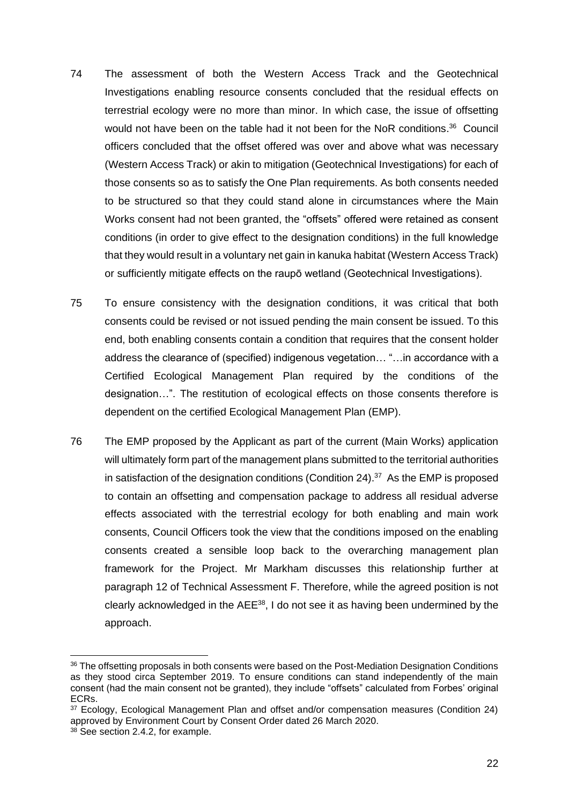- 74 The assessment of both the Western Access Track and the Geotechnical Investigations enabling resource consents concluded that the residual effects on terrestrial ecology were no more than minor. In which case, the issue of offsetting would not have been on the table had it not been for the NoR conditions.<sup>36</sup> Council officers concluded that the offset offered was over and above what was necessary (Western Access Track) or akin to mitigation (Geotechnical Investigations) for each of those consents so as to satisfy the One Plan requirements. As both consents needed to be structured so that they could stand alone in circumstances where the Main Works consent had not been granted, the "offsets" offered were retained as consent conditions (in order to give effect to the designation conditions) in the full knowledge that they would result in a voluntary net gain in kanuka habitat (Western Access Track) or sufficiently mitigate effects on the raupō wetland (Geotechnical Investigations).
- 75 To ensure consistency with the designation conditions, it was critical that both consents could be revised or not issued pending the main consent be issued. To this end, both enabling consents contain a condition that requires that the consent holder address the clearance of (specified) indigenous vegetation… "…in accordance with a Certified Ecological Management Plan required by the conditions of the designation…". The restitution of ecological effects on those consents therefore is dependent on the certified Ecological Management Plan (EMP).
- 76 The EMP proposed by the Applicant as part of the current (Main Works) application will ultimately form part of the management plans submitted to the territorial authorities in satisfaction of the designation conditions (Condition 24).<sup>37</sup> As the EMP is proposed to contain an offsetting and compensation package to address all residual adverse effects associated with the terrestrial ecology for both enabling and main work consents, Council Officers took the view that the conditions imposed on the enabling consents created a sensible loop back to the overarching management plan framework for the Project. Mr Markham discusses this relationship further at paragraph 12 of Technical Assessment F. Therefore, while the agreed position is not clearly acknowledged in the  $AEE^{38}$ , I do not see it as having been undermined by the approach.

<sup>&</sup>lt;sup>36</sup> The offsetting proposals in both consents were based on the Post-Mediation Designation Conditions as they stood circa September 2019. To ensure conditions can stand independently of the main consent (had the main consent not be granted), they include "offsets" calculated from Forbes' original ECRs.

<sup>37</sup> Ecology, Ecological Management Plan and offset and/or compensation measures (Condition 24) approved by Environment Court by Consent Order dated 26 March 2020.

<sup>&</sup>lt;sup>38</sup> See section 2.4.2, for example.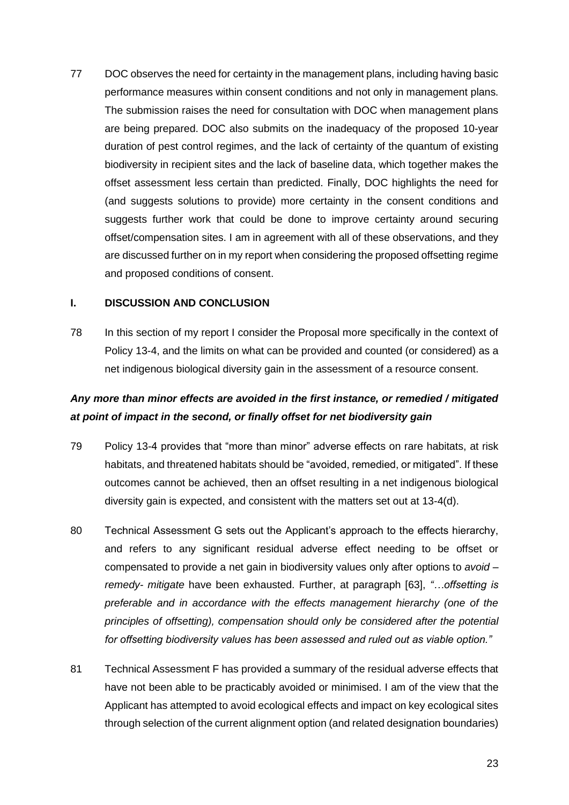77 DOC observes the need for certainty in the management plans, including having basic performance measures within consent conditions and not only in management plans. The submission raises the need for consultation with DOC when management plans are being prepared. DOC also submits on the inadequacy of the proposed 10-year duration of pest control regimes, and the lack of certainty of the quantum of existing biodiversity in recipient sites and the lack of baseline data, which together makes the offset assessment less certain than predicted. Finally, DOC highlights the need for (and suggests solutions to provide) more certainty in the consent conditions and suggests further work that could be done to improve certainty around securing offset/compensation sites. I am in agreement with all of these observations, and they are discussed further on in my report when considering the proposed offsetting regime and proposed conditions of consent.

#### **I. DISCUSSION AND CONCLUSION**

78 In this section of my report I consider the Proposal more specifically in the context of Policy 13-4, and the limits on what can be provided and counted (or considered) as a net indigenous biological diversity gain in the assessment of a resource consent.

# *Any more than minor effects are avoided in the first instance, or remedied / mitigated at point of impact in the second, or finally offset for net biodiversity gain*

- 79 Policy 13-4 provides that "more than minor" adverse effects on rare habitats, at risk habitats, and threatened habitats should be "avoided, remedied, or mitigated". If these outcomes cannot be achieved, then an offset resulting in a net indigenous biological diversity gain is expected, and consistent with the matters set out at 13-4(d).
- 80 Technical Assessment G sets out the Applicant's approach to the effects hierarchy, and refers to any significant residual adverse effect needing to be offset or compensated to provide a net gain in biodiversity values only after options to *avoid – remedy- mitigate* have been exhausted. Further, at paragraph [63], *"…offsetting is preferable and in accordance with the effects management hierarchy (one of the principles of offsetting), compensation should only be considered after the potential for offsetting biodiversity values has been assessed and ruled out as viable option."*
- 81 Technical Assessment F has provided a summary of the residual adverse effects that have not been able to be practicably avoided or minimised. I am of the view that the Applicant has attempted to avoid ecological effects and impact on key ecological sites through selection of the current alignment option (and related designation boundaries)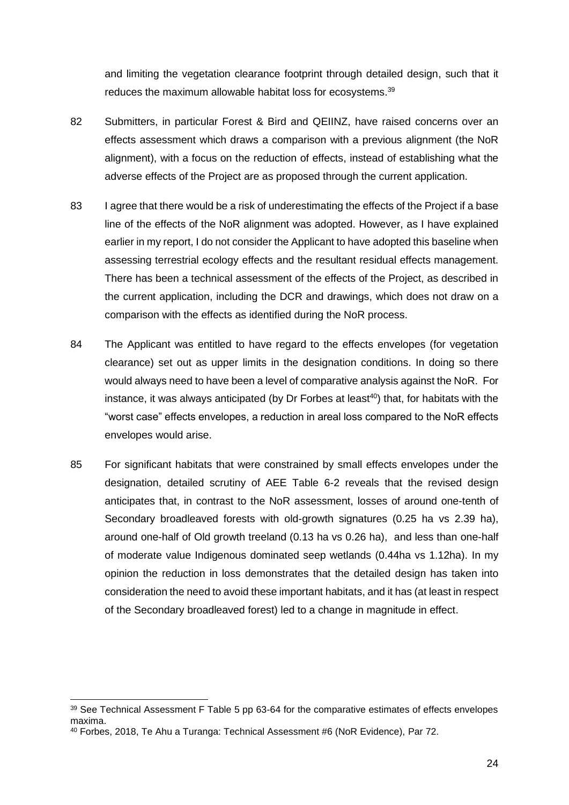and limiting the vegetation clearance footprint through detailed design, such that it reduces the maximum allowable habitat loss for ecosystems.<sup>39</sup>

- 82 Submitters, in particular Forest & Bird and QEIINZ, have raised concerns over an effects assessment which draws a comparison with a previous alignment (the NoR alignment), with a focus on the reduction of effects, instead of establishing what the adverse effects of the Project are as proposed through the current application.
- 83 I agree that there would be a risk of underestimating the effects of the Project if a base line of the effects of the NoR alignment was adopted. However, as I have explained earlier in my report, I do not consider the Applicant to have adopted this baseline when assessing terrestrial ecology effects and the resultant residual effects management. There has been a technical assessment of the effects of the Project, as described in the current application, including the DCR and drawings, which does not draw on a comparison with the effects as identified during the NoR process.
- 84 The Applicant was entitled to have regard to the effects envelopes (for vegetation clearance) set out as upper limits in the designation conditions. In doing so there would always need to have been a level of comparative analysis against the NoR. For instance, it was always anticipated (by Dr Forbes at least<sup>40</sup>) that, for habitats with the "worst case" effects envelopes, a reduction in areal loss compared to the NoR effects envelopes would arise.
- 85 For significant habitats that were constrained by small effects envelopes under the designation, detailed scrutiny of AEE Table 6-2 reveals that the revised design anticipates that, in contrast to the NoR assessment, losses of around one-tenth of Secondary broadleaved forests with old-growth signatures (0.25 ha vs 2.39 ha), around one-half of Old growth treeland (0.13 ha vs 0.26 ha), and less than one-half of moderate value Indigenous dominated seep wetlands (0.44ha vs 1.12ha). In my opinion the reduction in loss demonstrates that the detailed design has taken into consideration the need to avoid these important habitats, and it has (at least in respect of the Secondary broadleaved forest) led to a change in magnitude in effect.

<sup>&</sup>lt;sup>39</sup> See Technical Assessment F Table 5 pp 63-64 for the comparative estimates of effects envelopes maxima.

<sup>40</sup> Forbes, 2018, Te Ahu a Turanga: Technical Assessment #6 (NoR Evidence), Par 72.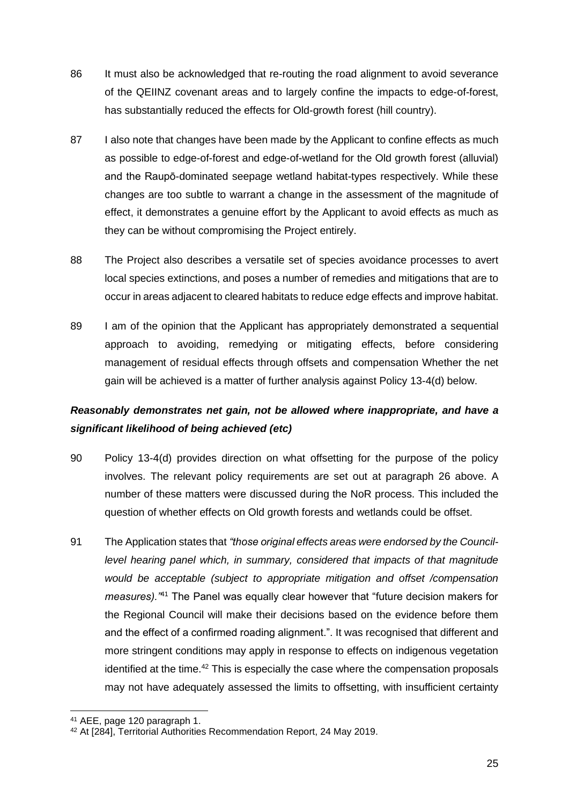- 86 It must also be acknowledged that re-routing the road alignment to avoid severance of the QEIINZ covenant areas and to largely confine the impacts to edge-of-forest, has substantially reduced the effects for Old-growth forest (hill country).
- 87 I also note that changes have been made by the Applicant to confine effects as much as possible to edge-of-forest and edge-of-wetland for the Old growth forest (alluvial) and the Raupō-dominated seepage wetland habitat-types respectively. While these changes are too subtle to warrant a change in the assessment of the magnitude of effect, it demonstrates a genuine effort by the Applicant to avoid effects as much as they can be without compromising the Project entirely.
- 88 The Project also describes a versatile set of species avoidance processes to avert local species extinctions, and poses a number of remedies and mitigations that are to occur in areas adjacent to cleared habitats to reduce edge effects and improve habitat.
- 89 I am of the opinion that the Applicant has appropriately demonstrated a sequential approach to avoiding, remedying or mitigating effects, before considering management of residual effects through offsets and compensation Whether the net gain will be achieved is a matter of further analysis against Policy 13-4(d) below.

# *Reasonably demonstrates net gain, not be allowed where inappropriate, and have a significant likelihood of being achieved (etc)*

- 90 Policy 13-4(d) provides direction on what offsetting for the purpose of the policy involves. The relevant policy requirements are set out at paragraph 26 above. A number of these matters were discussed during the NoR process. This included the question of whether effects on Old growth forests and wetlands could be offset.
- 91 The Application states that *"those original effects areas were endorsed by the Councillevel hearing panel which, in summary, considered that impacts of that magnitude would be acceptable (subject to appropriate mitigation and offset /compensation measures)."*<sup>41</sup> The Panel was equally clear however that "future decision makers for the Regional Council will make their decisions based on the evidence before them and the effect of a confirmed roading alignment.". It was recognised that different and more stringent conditions may apply in response to effects on indigenous vegetation identified at the time.<sup>42</sup> This is especially the case where the compensation proposals may not have adequately assessed the limits to offsetting, with insufficient certainty

<sup>41</sup> AEE, page 120 paragraph 1.

<sup>42</sup> At [284], Territorial Authorities Recommendation Report, 24 May 2019.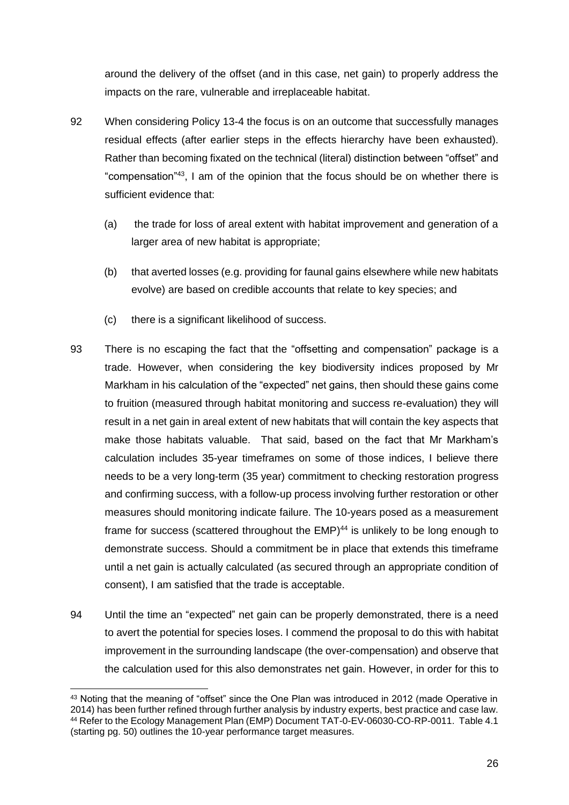around the delivery of the offset (and in this case, net gain) to properly address the impacts on the rare, vulnerable and irreplaceable habitat.

- 92 When considering Policy 13-4 the focus is on an outcome that successfully manages residual effects (after earlier steps in the effects hierarchy have been exhausted). Rather than becoming fixated on the technical (literal) distinction between "offset" and "compensation"<sup>43</sup> , I am of the opinion that the focus should be on whether there is sufficient evidence that:
	- (a) the trade for loss of areal extent with habitat improvement and generation of a larger area of new habitat is appropriate;
	- (b) that averted losses (e.g. providing for faunal gains elsewhere while new habitats evolve) are based on credible accounts that relate to key species; and
	- (c) there is a significant likelihood of success.
- 93 There is no escaping the fact that the "offsetting and compensation" package is a trade. However, when considering the key biodiversity indices proposed by Mr Markham in his calculation of the "expected" net gains, then should these gains come to fruition (measured through habitat monitoring and success re-evaluation) they will result in a net gain in areal extent of new habitats that will contain the key aspects that make those habitats valuable. That said, based on the fact that Mr Markham's calculation includes 35-year timeframes on some of those indices, I believe there needs to be a very long-term (35 year) commitment to checking restoration progress and confirming success, with a follow-up process involving further restoration or other measures should monitoring indicate failure. The 10-years posed as a measurement frame for success (scattered throughout the EMP)<sup>44</sup> is unlikely to be long enough to demonstrate success. Should a commitment be in place that extends this timeframe until a net gain is actually calculated (as secured through an appropriate condition of consent), I am satisfied that the trade is acceptable.
- 94 Until the time an "expected" net gain can be properly demonstrated, there is a need to avert the potential for species loses. I commend the proposal to do this with habitat improvement in the surrounding landscape (the over-compensation) and observe that the calculation used for this also demonstrates net gain. However, in order for this to

<sup>43</sup> Noting that the meaning of "offset" since the One Plan was introduced in 2012 (made Operative in 2014) has been further refined through further analysis by industry experts, best practice and case law. <sup>44</sup> Refer to the Ecology Management Plan (EMP) Document TAT-0-EV-06030-CO-RP-0011. Table 4.1 (starting pg. 50) outlines the 10-year performance target measures.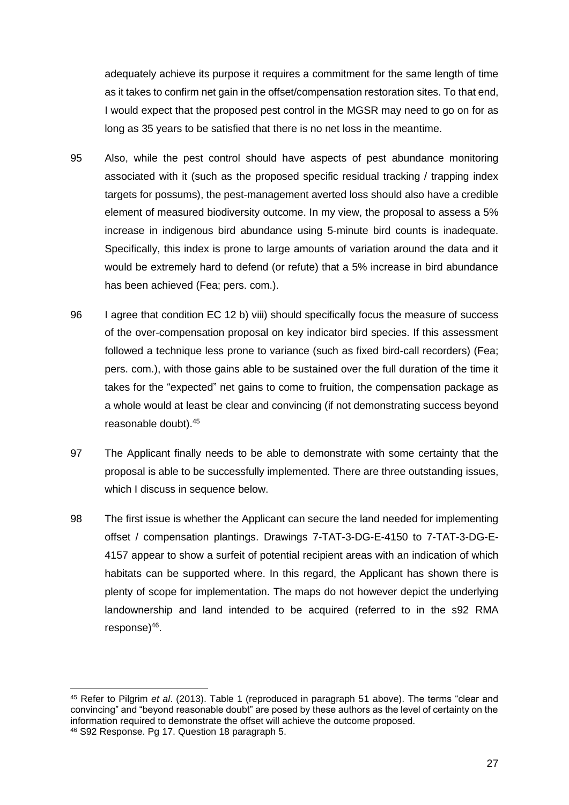adequately achieve its purpose it requires a commitment for the same length of time as it takes to confirm net gain in the offset/compensation restoration sites. To that end, I would expect that the proposed pest control in the MGSR may need to go on for as long as 35 years to be satisfied that there is no net loss in the meantime.

- 95 Also, while the pest control should have aspects of pest abundance monitoring associated with it (such as the proposed specific residual tracking / trapping index targets for possums), the pest-management averted loss should also have a credible element of measured biodiversity outcome. In my view, the proposal to assess a 5% increase in indigenous bird abundance using 5-minute bird counts is inadequate. Specifically, this index is prone to large amounts of variation around the data and it would be extremely hard to defend (or refute) that a 5% increase in bird abundance has been achieved (Fea; pers. com.).
- 96 I agree that condition EC 12 b) viii) should specifically focus the measure of success of the over-compensation proposal on key indicator bird species. If this assessment followed a technique less prone to variance (such as fixed bird-call recorders) (Fea; pers. com.), with those gains able to be sustained over the full duration of the time it takes for the "expected" net gains to come to fruition, the compensation package as a whole would at least be clear and convincing (if not demonstrating success beyond reasonable doubt). 45
- 97 The Applicant finally needs to be able to demonstrate with some certainty that the proposal is able to be successfully implemented. There are three outstanding issues, which I discuss in sequence below.
- 98 The first issue is whether the Applicant can secure the land needed for implementing offset / compensation plantings. Drawings 7-TAT-3-DG-E-4150 to 7-TAT-3-DG-E-4157 appear to show a surfeit of potential recipient areas with an indication of which habitats can be supported where. In this regard, the Applicant has shown there is plenty of scope for implementation. The maps do not however depict the underlying landownership and land intended to be acquired (referred to in the s92 RMA response)<sup>46</sup>.

<sup>45</sup> Refer to Pilgrim *et al*. (2013). Table 1 (reproduced in paragraph 51 above). The terms "clear and convincing" and "beyond reasonable doubt" are posed by these authors as the level of certainty on the information required to demonstrate the offset will achieve the outcome proposed. <sup>46</sup> S92 Response. Pg 17. Question 18 paragraph 5.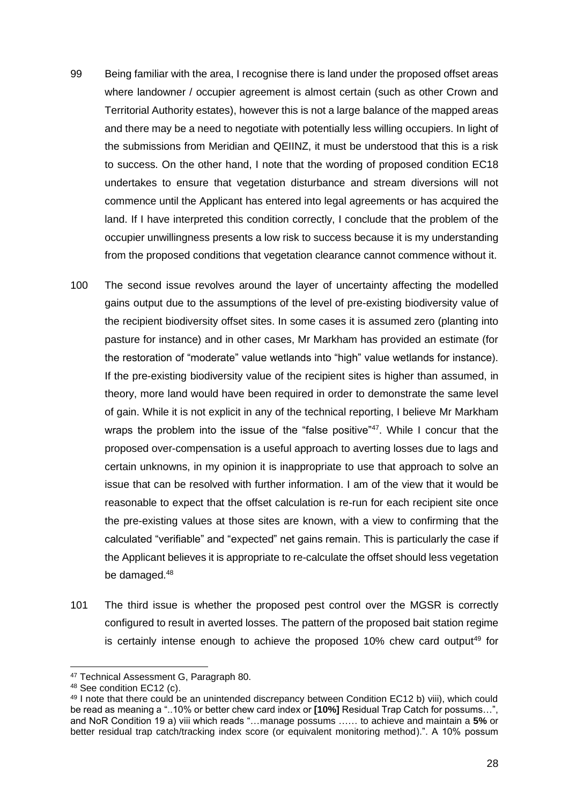- 99 Being familiar with the area, I recognise there is land under the proposed offset areas where landowner / occupier agreement is almost certain (such as other Crown and Territorial Authority estates), however this is not a large balance of the mapped areas and there may be a need to negotiate with potentially less willing occupiers. In light of the submissions from Meridian and QEIINZ, it must be understood that this is a risk to success. On the other hand, I note that the wording of proposed condition EC18 undertakes to ensure that vegetation disturbance and stream diversions will not commence until the Applicant has entered into legal agreements or has acquired the land. If I have interpreted this condition correctly, I conclude that the problem of the occupier unwillingness presents a low risk to success because it is my understanding from the proposed conditions that vegetation clearance cannot commence without it.
- 100 The second issue revolves around the layer of uncertainty affecting the modelled gains output due to the assumptions of the level of pre-existing biodiversity value of the recipient biodiversity offset sites. In some cases it is assumed zero (planting into pasture for instance) and in other cases, Mr Markham has provided an estimate (for the restoration of "moderate" value wetlands into "high" value wetlands for instance). If the pre-existing biodiversity value of the recipient sites is higher than assumed, in theory, more land would have been required in order to demonstrate the same level of gain. While it is not explicit in any of the technical reporting, I believe Mr Markham wraps the problem into the issue of the "false positive"<sup>47</sup>. While I concur that the proposed over-compensation is a useful approach to averting losses due to lags and certain unknowns, in my opinion it is inappropriate to use that approach to solve an issue that can be resolved with further information. I am of the view that it would be reasonable to expect that the offset calculation is re-run for each recipient site once the pre-existing values at those sites are known, with a view to confirming that the calculated "verifiable" and "expected" net gains remain. This is particularly the case if the Applicant believes it is appropriate to re-calculate the offset should less vegetation be damaged.<sup>48</sup>
- 101 The third issue is whether the proposed pest control over the MGSR is correctly configured to result in averted losses. The pattern of the proposed bait station regime is certainly intense enough to achieve the proposed 10% chew card output<sup>49</sup> for

<sup>47</sup> Technical Assessment G, Paragraph 80.

<sup>48</sup> See condition EC12 (c).

<sup>49</sup> I note that there could be an unintended discrepancy between Condition EC12 b) viii), which could be read as meaning a "..10% or better chew card index or **[10%]** Residual Trap Catch for possums…", and NoR Condition 19 a) viii which reads "…manage possums …… to achieve and maintain a **5%** or better residual trap catch/tracking index score (or equivalent monitoring method).". A 10% possum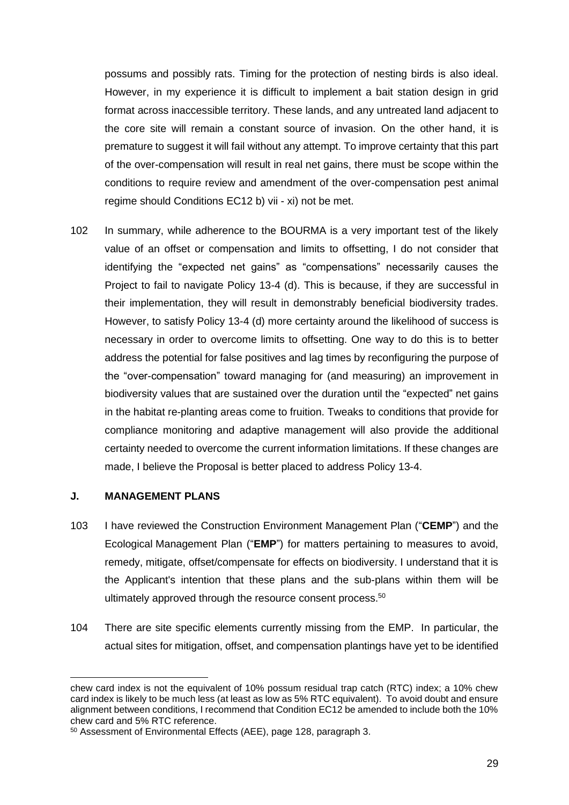possums and possibly rats. Timing for the protection of nesting birds is also ideal. However, in my experience it is difficult to implement a bait station design in grid format across inaccessible territory. These lands, and any untreated land adjacent to the core site will remain a constant source of invasion. On the other hand, it is premature to suggest it will fail without any attempt. To improve certainty that this part of the over-compensation will result in real net gains, there must be scope within the conditions to require review and amendment of the over-compensation pest animal regime should Conditions EC12 b) vii - xi) not be met.

102 In summary, while adherence to the BOURMA is a very important test of the likely value of an offset or compensation and limits to offsetting, I do not consider that identifying the "expected net gains" as "compensations" necessarily causes the Project to fail to navigate Policy 13-4 (d). This is because, if they are successful in their implementation, they will result in demonstrably beneficial biodiversity trades. However, to satisfy Policy 13-4 (d) more certainty around the likelihood of success is necessary in order to overcome limits to offsetting. One way to do this is to better address the potential for false positives and lag times by reconfiguring the purpose of the "over-compensation" toward managing for (and measuring) an improvement in biodiversity values that are sustained over the duration until the "expected" net gains in the habitat re-planting areas come to fruition. Tweaks to conditions that provide for compliance monitoring and adaptive management will also provide the additional certainty needed to overcome the current information limitations. If these changes are made, I believe the Proposal is better placed to address Policy 13-4.

### **J. MANAGEMENT PLANS**

- 103 I have reviewed the Construction Environment Management Plan ("**CEMP**") and the Ecological Management Plan ("**EMP**") for matters pertaining to measures to avoid, remedy, mitigate, offset/compensate for effects on biodiversity. I understand that it is the Applicant's intention that these plans and the sub-plans within them will be ultimately approved through the resource consent process.<sup>50</sup>
- 104 There are site specific elements currently missing from the EMP. In particular, the actual sites for mitigation, offset, and compensation plantings have yet to be identified

chew card index is not the equivalent of 10% possum residual trap catch (RTC) index; a 10% chew card index is likely to be much less (at least as low as 5% RTC equivalent). To avoid doubt and ensure alignment between conditions, I recommend that Condition EC12 be amended to include both the 10% chew card and 5% RTC reference.

<sup>50</sup> Assessment of Environmental Effects (AEE), page 128, paragraph 3.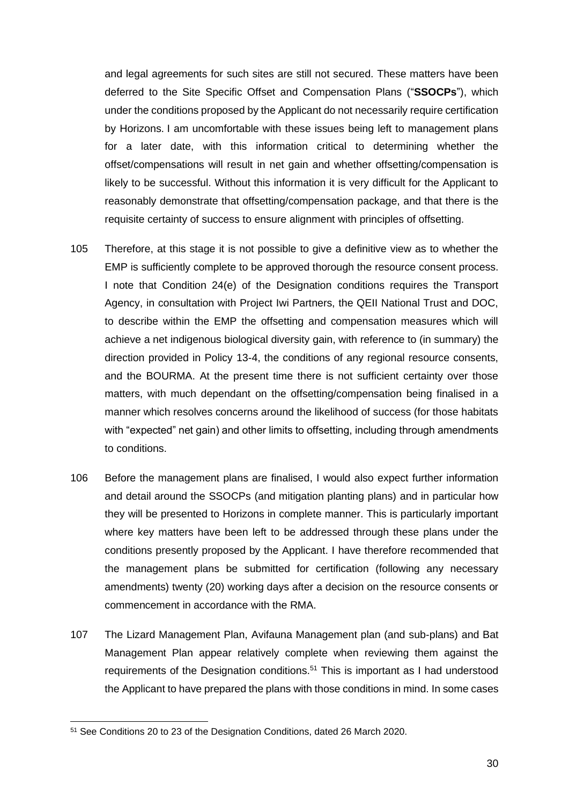and legal agreements for such sites are still not secured. These matters have been deferred to the Site Specific Offset and Compensation Plans ("**SSOCPs**"), which under the conditions proposed by the Applicant do not necessarily require certification by Horizons. I am uncomfortable with these issues being left to management plans for a later date, with this information critical to determining whether the offset/compensations will result in net gain and whether offsetting/compensation is likely to be successful. Without this information it is very difficult for the Applicant to reasonably demonstrate that offsetting/compensation package, and that there is the requisite certainty of success to ensure alignment with principles of offsetting.

- 105 Therefore, at this stage it is not possible to give a definitive view as to whether the EMP is sufficiently complete to be approved thorough the resource consent process. I note that Condition 24(e) of the Designation conditions requires the Transport Agency, in consultation with Project Iwi Partners, the QEII National Trust and DOC, to describe within the EMP the offsetting and compensation measures which will achieve a net indigenous biological diversity gain, with reference to (in summary) the direction provided in Policy 13-4, the conditions of any regional resource consents, and the BOURMA. At the present time there is not sufficient certainty over those matters, with much dependant on the offsetting/compensation being finalised in a manner which resolves concerns around the likelihood of success (for those habitats with "expected" net gain) and other limits to offsetting, including through amendments to conditions.
- 106 Before the management plans are finalised, I would also expect further information and detail around the SSOCPs (and mitigation planting plans) and in particular how they will be presented to Horizons in complete manner. This is particularly important where key matters have been left to be addressed through these plans under the conditions presently proposed by the Applicant. I have therefore recommended that the management plans be submitted for certification (following any necessary amendments) twenty (20) working days after a decision on the resource consents or commencement in accordance with the RMA.
- 107 The Lizard Management Plan, Avifauna Management plan (and sub-plans) and Bat Management Plan appear relatively complete when reviewing them against the requirements of the Designation conditions.<sup>51</sup> This is important as I had understood the Applicant to have prepared the plans with those conditions in mind. In some cases

<sup>51</sup> See Conditions 20 to 23 of the Designation Conditions, dated 26 March 2020.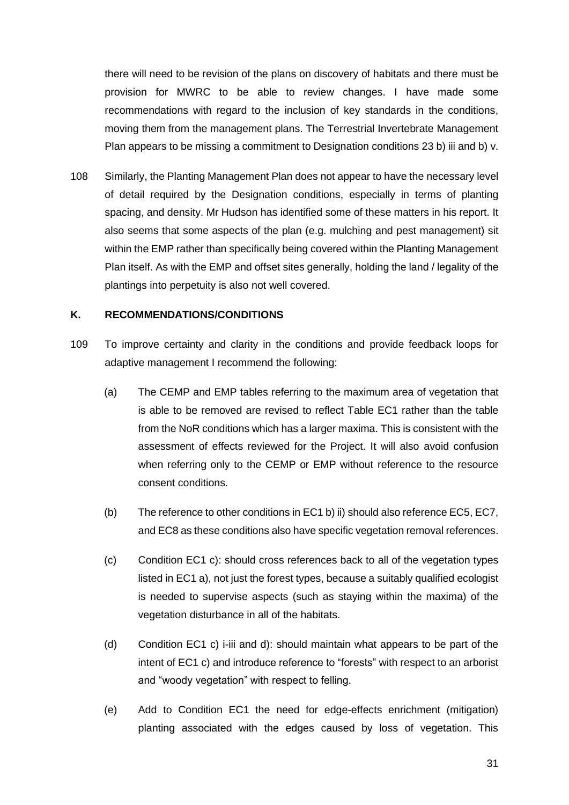there will need to be revision of the plans on discovery of habitats and there must be provision for MWRC to be able to review changes. I have made some recommendations with regard to the inclusion of key standards in the conditions, moving them from the management plans. The Terrestrial Invertebrate Management Plan appears to be missing a commitment to Designation conditions 23 b) iii and b) v.

108 Similarly, the Planting Management Plan does not appear to have the necessary level of detail required by the Designation conditions, especially in terms of planting spacing, and density. Mr Hudson has identified some of these matters in his report. It also seems that some aspects of the plan (e.g. mulching and pest management) sit within the EMP rather than specifically being covered within the Planting Management Plan itself. As with the EMP and offset sites generally, holding the land / legality of the plantings into perpetuity is also not well covered.

## **K. RECOMMENDATIONS/CONDITIONS**

- 109 To improve certainty and clarity in the conditions and provide feedback loops for adaptive management I recommend the following:
	- (a) The CEMP and EMP tables referring to the maximum area of vegetation that is able to be removed are revised to reflect Table EC1 rather than the table from the NoR conditions which has a larger maxima. This is consistent with the assessment of effects reviewed for the Project. It will also avoid confusion when referring only to the CEMP or EMP without reference to the resource consent conditions.
	- (b) The reference to other conditions in EC1 b) ii) should also reference EC5, EC7, and EC8 as these conditions also have specific vegetation removal references.
	- (c) Condition EC1 c): should cross references back to all of the vegetation types listed in EC1 a), not just the forest types, because a suitably qualified ecologist is needed to supervise aspects (such as staying within the maxima) of the vegetation disturbance in all of the habitats.
	- (d) Condition EC1 c) i-iii and d): should maintain what appears to be part of the intent of EC1 c) and introduce reference to "forests" with respect to an arborist and "woody vegetation" with respect to felling.
	- (e) Add to Condition EC1 the need for edge-effects enrichment (mitigation) planting associated with the edges caused by loss of vegetation. This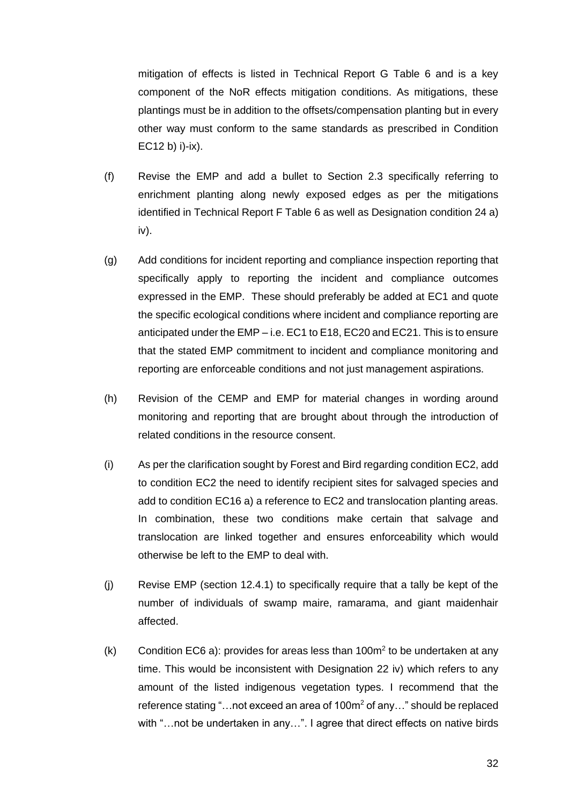mitigation of effects is listed in Technical Report G Table 6 and is a key component of the NoR effects mitigation conditions. As mitigations, these plantings must be in addition to the offsets/compensation planting but in every other way must conform to the same standards as prescribed in Condition EC12 b) i)-ix).

- (f) Revise the EMP and add a bullet to Section 2.3 specifically referring to enrichment planting along newly exposed edges as per the mitigations identified in Technical Report F Table 6 as well as Designation condition 24 a) iv).
- (g) Add conditions for incident reporting and compliance inspection reporting that specifically apply to reporting the incident and compliance outcomes expressed in the EMP. These should preferably be added at EC1 and quote the specific ecological conditions where incident and compliance reporting are anticipated under the EMP – i.e. EC1 to E18, EC20 and EC21. This is to ensure that the stated EMP commitment to incident and compliance monitoring and reporting are enforceable conditions and not just management aspirations.
- (h) Revision of the CEMP and EMP for material changes in wording around monitoring and reporting that are brought about through the introduction of related conditions in the resource consent.
- (i) As per the clarification sought by Forest and Bird regarding condition EC2, add to condition EC2 the need to identify recipient sites for salvaged species and add to condition EC16 a) a reference to EC2 and translocation planting areas. In combination, these two conditions make certain that salvage and translocation are linked together and ensures enforceability which would otherwise be left to the EMP to deal with.
- (j) Revise EMP (section 12.4.1) to specifically require that a tally be kept of the number of individuals of swamp maire, ramarama, and giant maidenhair affected.
- $(k)$  Condition EC6 a): provides for areas less than 100 $m<sup>2</sup>$  to be undertaken at any time. This would be inconsistent with Designation 22 iv) which refers to any amount of the listed indigenous vegetation types. I recommend that the reference stating "...not exceed an area of 100m<sup>2</sup> of any..." should be replaced with "...not be undertaken in any...". I agree that direct effects on native birds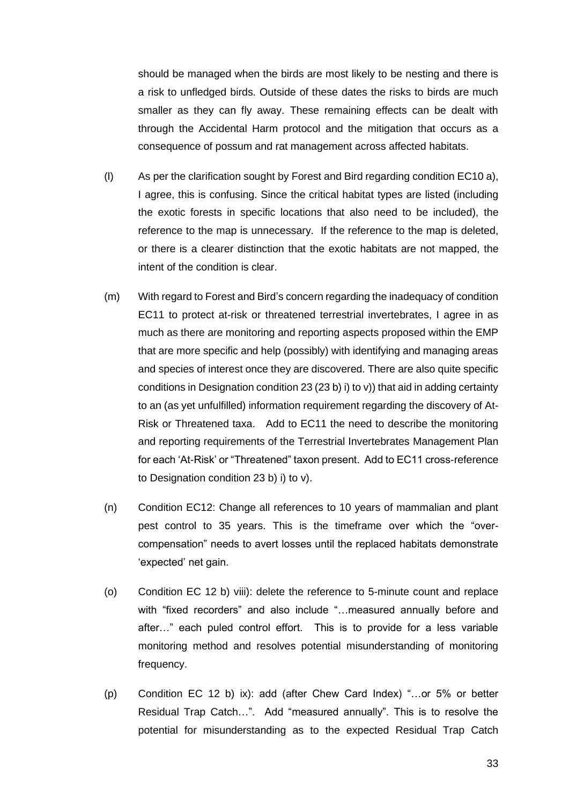should be managed when the birds are most likely to be nesting and there is a risk to unfledged birds. Outside of these dates the risks to birds are much smaller as they can fly away. These remaining effects can be dealt with through the Accidental Harm protocol and the mitigation that occurs as a consequence of possum and rat management across affected habitats.

- (l) As per the clarification sought by Forest and Bird regarding condition EC10 a), I agree, this is confusing. Since the critical habitat types are listed (including the exotic forests in specific locations that also need to be included), the reference to the map is unnecessary. If the reference to the map is deleted, or there is a clearer distinction that the exotic habitats are not mapped, the intent of the condition is clear.
- (m) With regard to Forest and Bird's concern regarding the inadequacy of condition EC11 to protect at-risk or threatened terrestrial invertebrates, I agree in as much as there are monitoring and reporting aspects proposed within the EMP that are more specific and help (possibly) with identifying and managing areas and species of interest once they are discovered. There are also quite specific conditions in Designation condition 23 (23 b) i) to v)) that aid in adding certainty to an (as yet unfulfilled) information requirement regarding the discovery of At-Risk or Threatened taxa. Add to EC11 the need to describe the monitoring and reporting requirements of the Terrestrial Invertebrates Management Plan for each 'At-Risk' or "Threatened" taxon present. Add to EC11 cross-reference to Designation condition 23 b) i) to v).
- (n) Condition EC12: Change all references to 10 years of mammalian and plant pest control to 35 years. This is the timeframe over which the "overcompensation" needs to avert losses until the replaced habitats demonstrate 'expected' net gain.
- (o) Condition EC 12 b) viii): delete the reference to 5-minute count and replace with "fixed recorders" and also include "…measured annually before and after…" each puled control effort. This is to provide for a less variable monitoring method and resolves potential misunderstanding of monitoring frequency.
- (p) Condition EC 12 b) ix): add (after Chew Card Index) "…or 5% or better Residual Trap Catch…". Add "measured annually". This is to resolve the potential for misunderstanding as to the expected Residual Trap Catch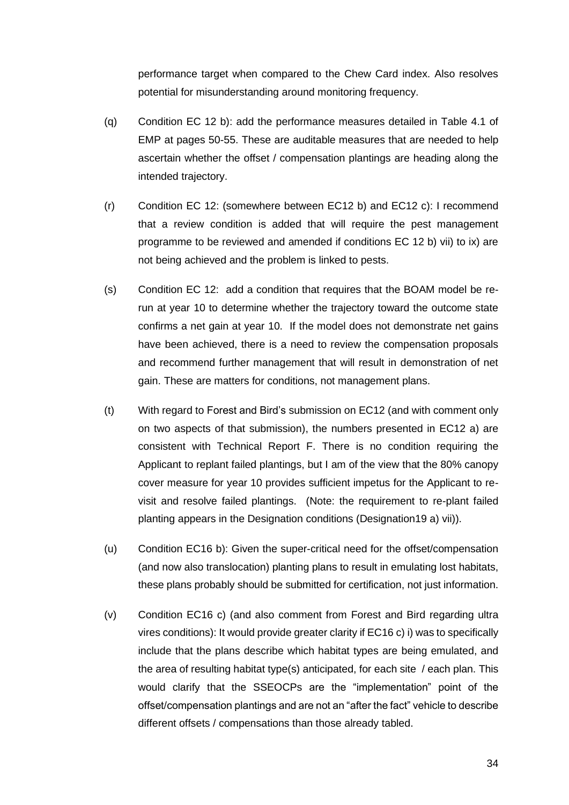performance target when compared to the Chew Card index. Also resolves potential for misunderstanding around monitoring frequency.

- (q) Condition EC 12 b): add the performance measures detailed in Table 4.1 of EMP at pages 50-55. These are auditable measures that are needed to help ascertain whether the offset / compensation plantings are heading along the intended trajectory.
- (r) Condition EC 12: (somewhere between EC12 b) and EC12 c): I recommend that a review condition is added that will require the pest management programme to be reviewed and amended if conditions EC 12 b) vii) to ix) are not being achieved and the problem is linked to pests.
- (s) Condition EC 12: add a condition that requires that the BOAM model be rerun at year 10 to determine whether the trajectory toward the outcome state confirms a net gain at year 10. If the model does not demonstrate net gains have been achieved, there is a need to review the compensation proposals and recommend further management that will result in demonstration of net gain. These are matters for conditions, not management plans.
- (t) With regard to Forest and Bird's submission on EC12 (and with comment only on two aspects of that submission), the numbers presented in EC12 a) are consistent with Technical Report F. There is no condition requiring the Applicant to replant failed plantings, but I am of the view that the 80% canopy cover measure for year 10 provides sufficient impetus for the Applicant to revisit and resolve failed plantings. (Note: the requirement to re-plant failed planting appears in the Designation conditions (Designation19 a) vii)).
- (u) Condition EC16 b): Given the super-critical need for the offset/compensation (and now also translocation) planting plans to result in emulating lost habitats, these plans probably should be submitted for certification, not just information.
- (v) Condition EC16 c) (and also comment from Forest and Bird regarding ultra vires conditions): It would provide greater clarity if EC16 c) i) was to specifically include that the plans describe which habitat types are being emulated, and the area of resulting habitat type(s) anticipated, for each site / each plan. This would clarify that the SSEOCPs are the "implementation" point of the offset/compensation plantings and are not an "after the fact" vehicle to describe different offsets / compensations than those already tabled.